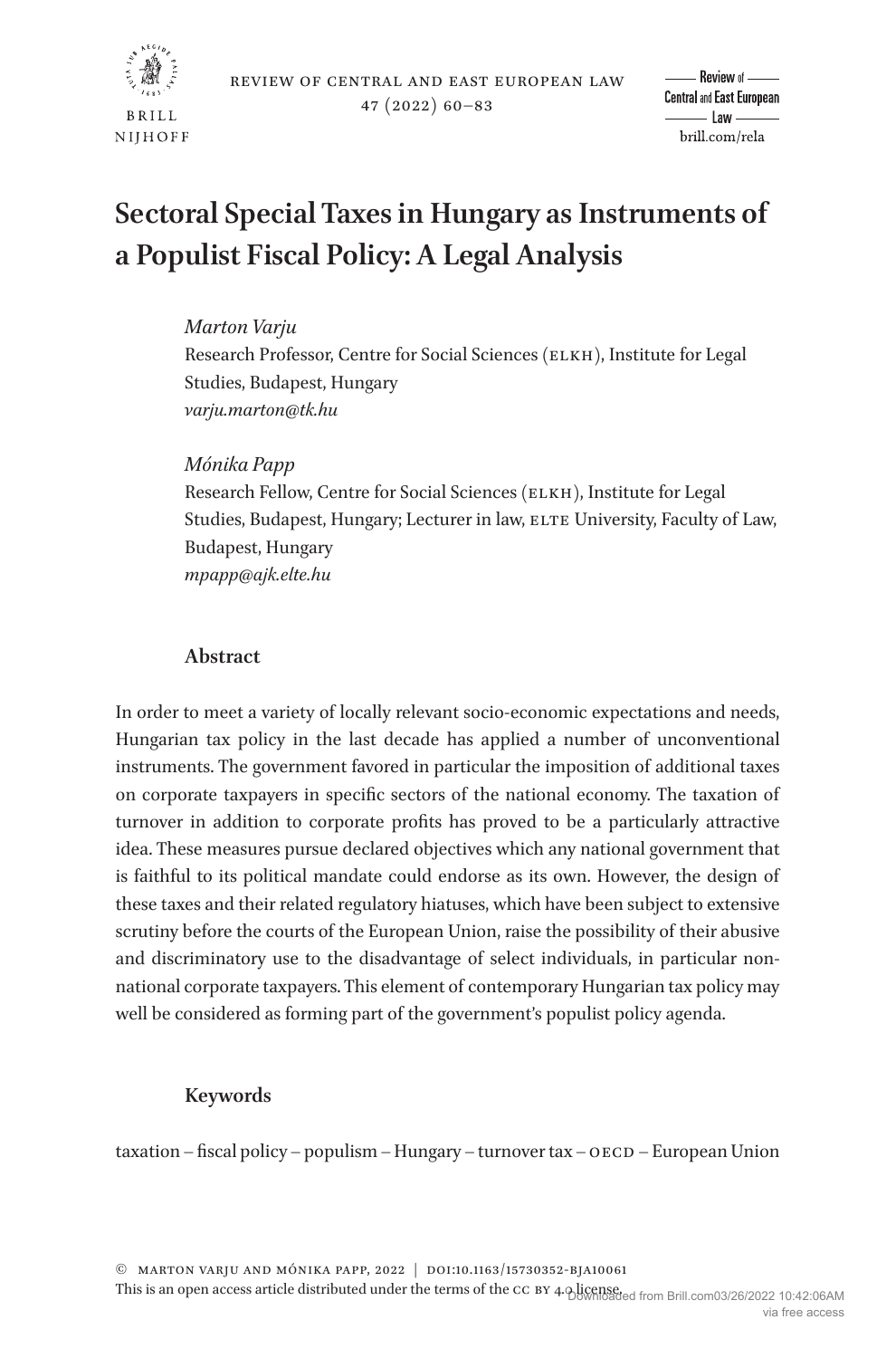

# **Sectoral Special Taxes in Hungary as Instruments of a Populist Fiscal Policy: A Legal Analysis**

## *Marton Varju*

Research Professor, Centre for Social Sciences (ELKH), Institute for Legal Studies, Budapest, Hungary *[varju.marton@tk.hu](mailto:varju.marton@tk.hu?subject=)*

# *Mónika Papp*

Research Fellow, Centre for Social Sciences (ELKH), Institute for Legal Studies, Budapest, Hungary; Lecturer in law, ELTE University, Faculty of Law, Budapest, Hungary *[mpapp@ajk.elte.hu](mailto:mpapp@ajk.elte.hu?subject=)*

# **Abstract**

In order to meet a variety of locally relevant socio-economic expectations and needs, Hungarian tax policy in the last decade has applied a number of unconventional instruments. The government favored in particular the imposition of additional taxes on corporate taxpayers in specific sectors of the national economy. The taxation of turnover in addition to corporate profits has proved to be a particularly attractive idea. These measures pursue declared objectives which any national government that is faithful to its political mandate could endorse as its own. However, the design of these taxes and their related regulatory hiatuses, which have been subject to extensive scrutiny before the courts of the European Union, raise the possibility of their abusive and discriminatory use to the disadvantage of select individuals, in particular nonnational corporate taxpayers. This element of contemporary Hungarian tax policy may well be considered as forming part of the government's populist policy agenda.

## **Keywords**

taxation – fiscal policy – populism – Hungary – turnover tax –  $\alpha$ ECD – European Union

© Marton Varju and Mónika Papp, 2022 | doi:10.1163/15730352-bja10061

This is an open access article distributed under the terms of the CC BY 4.0 license. This is an open access article distributed under the terms of the CC BY 4.0 license. via free access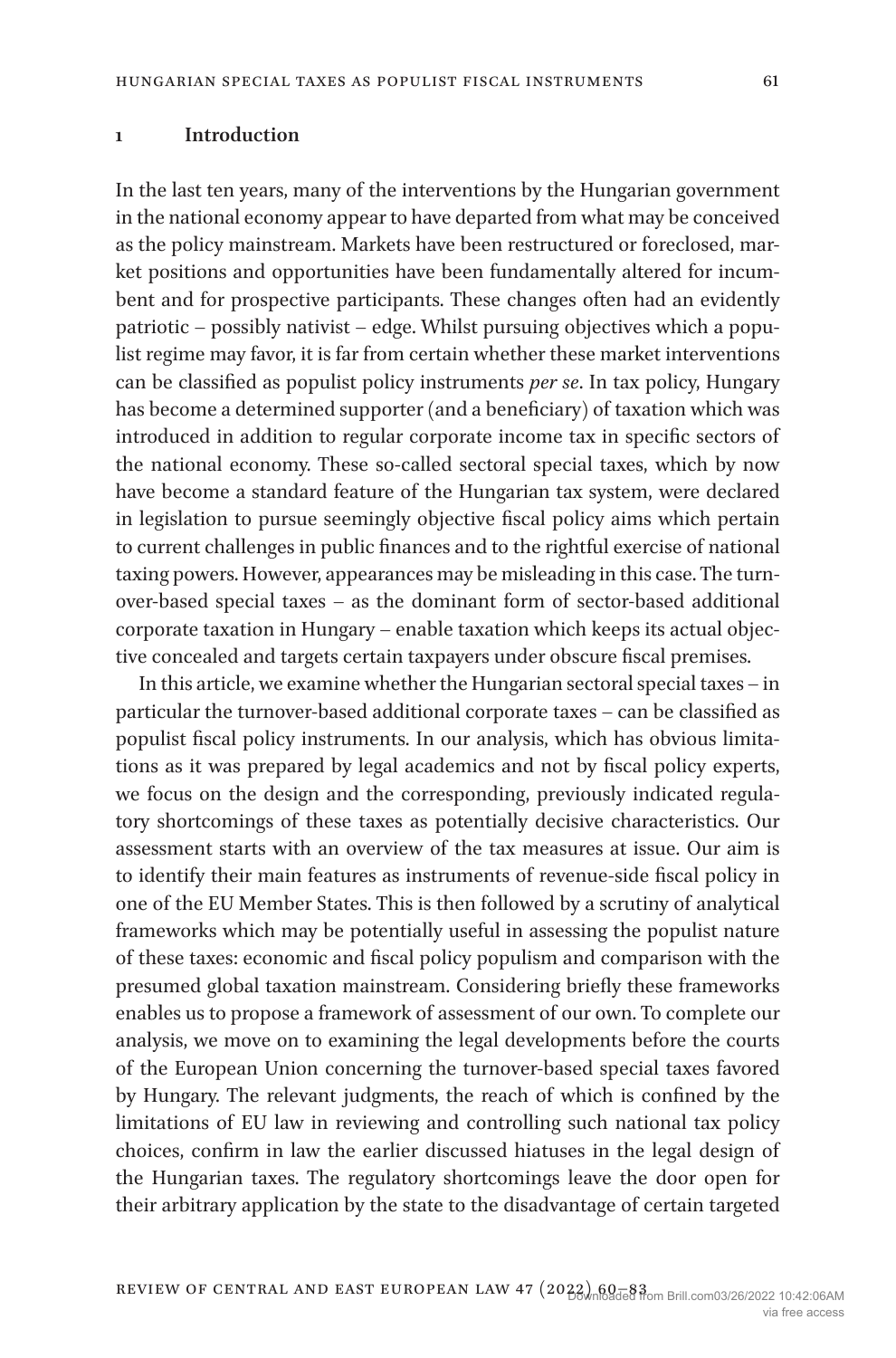#### **1 Introduction**

In the last ten years, many of the interventions by the Hungarian government in the national economy appear to have departed from what may be conceived as the policy mainstream. Markets have been restructured or foreclosed, market positions and opportunities have been fundamentally altered for incumbent and for prospective participants. These changes often had an evidently patriotic – possibly nativist – edge. Whilst pursuing objectives which a populist regime may favor, it is far from certain whether these market interventions can be classified as populist policy instruments *per se*. In tax policy, Hungary has become a determined supporter (and a beneficiary) of taxation which was introduced in addition to regular corporate income tax in specific sectors of the national economy. These so-called sectoral special taxes, which by now have become a standard feature of the Hungarian tax system, were declared in legislation to pursue seemingly objective fiscal policy aims which pertain to current challenges in public finances and to the rightful exercise of national taxing powers. However, appearances may be misleading in this case. The turnover-based special taxes – as the dominant form of sector-based additional corporate taxation in Hungary – enable taxation which keeps its actual objective concealed and targets certain taxpayers under obscure fiscal premises.

In this article, we examine whether the Hungarian sectoral special taxes – in particular the turnover-based additional corporate taxes – can be classified as populist fiscal policy instruments. In our analysis, which has obvious limitations as it was prepared by legal academics and not by fiscal policy experts, we focus on the design and the corresponding, previously indicated regulatory shortcomings of these taxes as potentially decisive characteristics. Our assessment starts with an overview of the tax measures at issue. Our aim is to identify their main features as instruments of revenue-side fiscal policy in one of the EU Member States. This is then followed by a scrutiny of analytical frameworks which may be potentially useful in assessing the populist nature of these taxes: economic and fiscal policy populism and comparison with the presumed global taxation mainstream. Considering briefly these frameworks enables us to propose a framework of assessment of our own. To complete our analysis, we move on to examining the legal developments before the courts of the European Union concerning the turnover-based special taxes favored by Hungary. The relevant judgments, the reach of which is confined by the limitations of EU law in reviewing and controlling such national tax policy choices, confirm in law the earlier discussed hiatuses in the legal design of the Hungarian taxes. The regulatory shortcomings leave the door open for their arbitrary application by the state to the disadvantage of certain targeted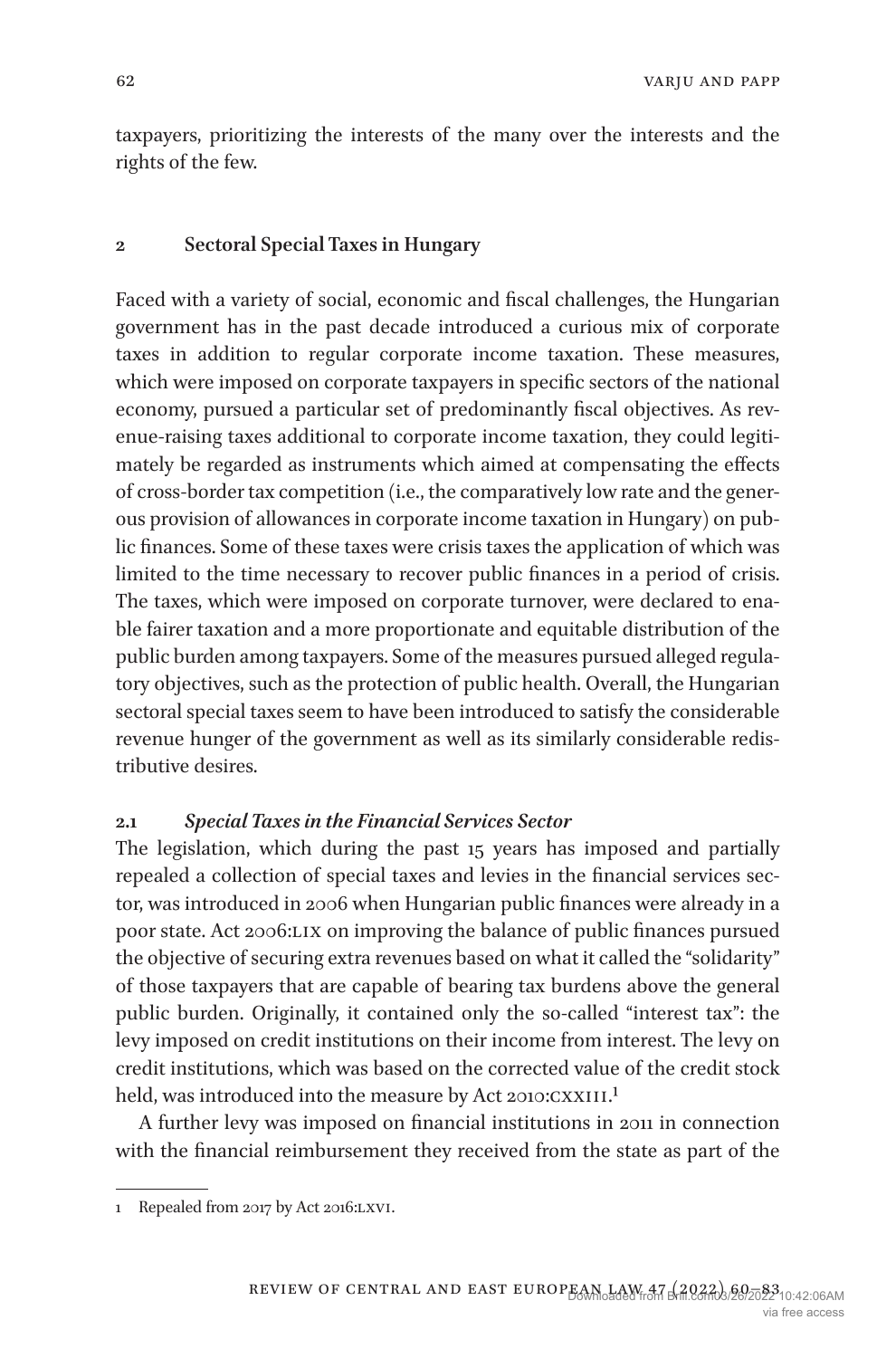taxpayers, prioritizing the interests of the many over the interests and the rights of the few.

#### **2 Sectoral Special Taxes in Hungary**

Faced with a variety of social, economic and fiscal challenges, the Hungarian government has in the past decade introduced a curious mix of corporate taxes in addition to regular corporate income taxation. These measures, which were imposed on corporate taxpayers in specific sectors of the national economy, pursued a particular set of predominantly fiscal objectives. As revenue-raising taxes additional to corporate income taxation, they could legitimately be regarded as instruments which aimed at compensating the effects of cross-border tax competition (i.e., the comparatively low rate and the generous provision of allowances in corporate income taxation in Hungary) on public finances. Some of these taxes were crisis taxes the application of which was limited to the time necessary to recover public finances in a period of crisis. The taxes, which were imposed on corporate turnover, were declared to enable fairer taxation and a more proportionate and equitable distribution of the public burden among taxpayers. Some of the measures pursued alleged regulatory objectives, such as the protection of public health. Overall, the Hungarian sectoral special taxes seem to have been introduced to satisfy the considerable revenue hunger of the government as well as its similarly considerable redistributive desires.

#### **2.1** *Special Taxes in the Financial Services Sector*

The legislation, which during the past 15 years has imposed and partially repealed a collection of special taxes and levies in the financial services sector, was introduced in 2006 when Hungarian public finances were already in a poor state. Act 2006:LIX on improving the balance of public finances pursued the objective of securing extra revenues based on what it called the "solidarity" of those taxpayers that are capable of bearing tax burdens above the general public burden. Originally, it contained only the so-called "interest tax": the levy imposed on credit institutions on their income from interest. The levy on credit institutions, which was based on the corrected value of the credit stock held, was introduced into the measure by Act 20[1](#page-2-0)0:CXXIII.<sup>1</sup>

A further levy was imposed on financial institutions in 2011 in connection with the financial reimbursement they received from the state as part of the

<span id="page-2-0"></span><sup>1</sup> Repealed from 2017 by Act 2016:lxvi.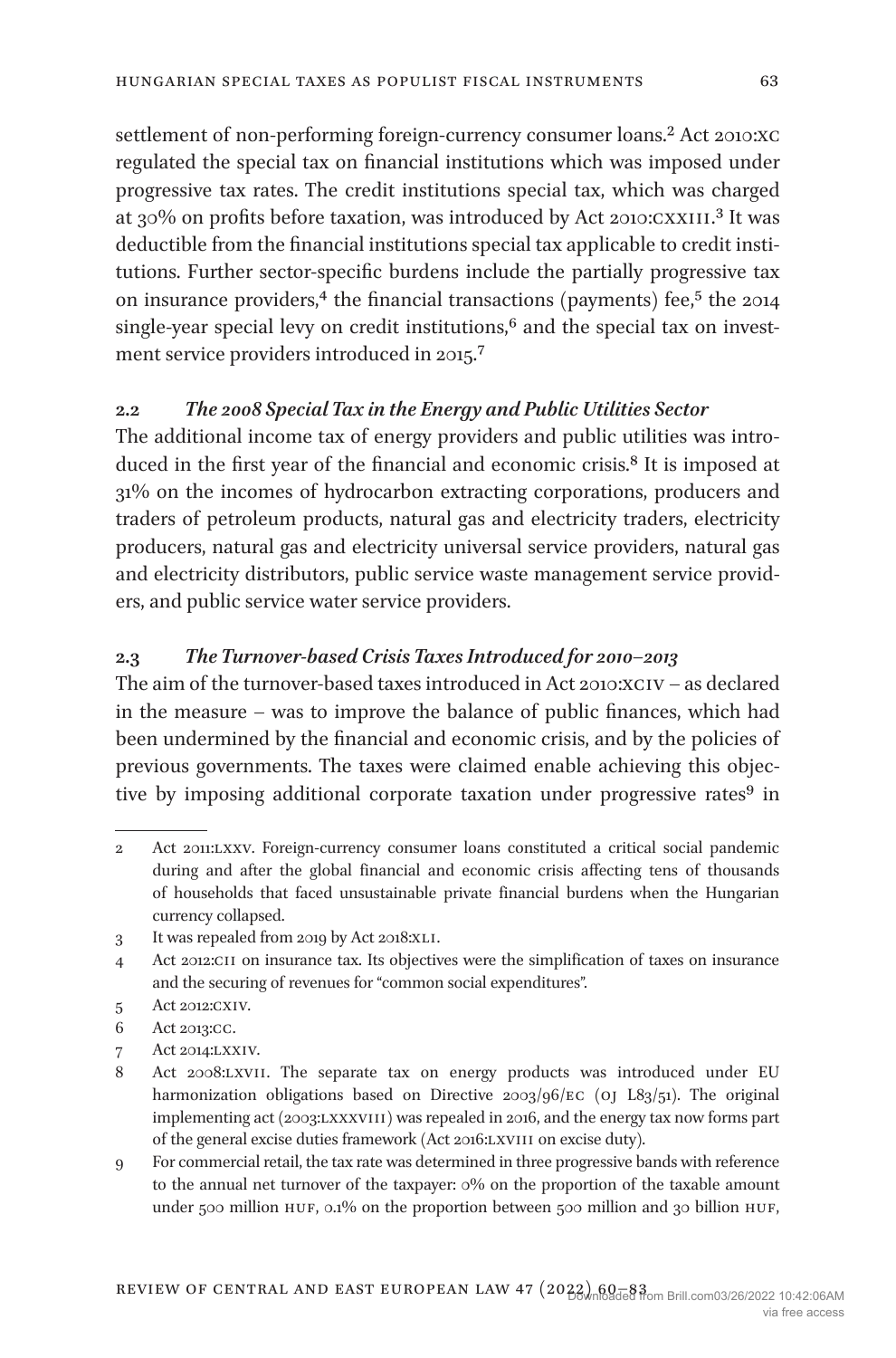settlement of non-performing foreign-currency consumer loans.<sup>2</sup> Act 2010:XC regulated the special tax on financial institutions which was imposed under progressive tax rates. The credit institutions special tax, which was charged at 30% on profits before taxation, was introduced by Act 2010:CXXIII.<sup>3</sup> It was deductible from the financial institutions special tax applicable to credit institutions. Further sector-specific burdens include the partially progressive tax on insurance providers,<sup>4</sup> the financial transactions (payments) fee,<sup>5</sup> the 2014 single-year special levy on credit institutions, $6$  and the special tax on investment service providers introduced in 2015[.7](#page-3-5)

## **2.2** *The 2008 Special Tax in the Energy and Public Utilities Sector*

The additional income tax of energy providers and public utilities was introduced in the first year of the financial and economic crisis.<sup>8</sup> It is imposed at 31% on the incomes of hydrocarbon extracting corporations, producers and traders of petroleum products, natural gas and electricity traders, electricity producers, natural gas and electricity universal service providers, natural gas and electricity distributors, public service waste management service providers, and public service water service providers.

#### **2.3** *The Turnover-based Crisis Taxes Introduced for 2010–2013*

The aim of the turnover-based taxes introduced in Act 2010:xciv – as declared in the measure – was to improve the balance of public finances, which had been undermined by the financial and economic crisis, and by the policies of previous governments. The taxes were claimed enable achieving this objective by imposing additional corporate taxation under progressive rates<sup>9</sup> in

- <span id="page-3-4"></span>6 Act 2013:cc.
- <span id="page-3-5"></span>7 Act 2014:lxxiv.

<span id="page-3-7"></span>9 For commercial retail, the tax rate was determined in three progressive bands with reference to the annual net turnover of the taxpayer: 0% on the proportion of the taxable amount under 500 million HUF, 0.1% on the proportion between 500 million and 30 billion HUF,

<span id="page-3-0"></span><sup>2</sup> Act 2011:lxxv. Foreign-currency consumer loans constituted a critical social pandemic during and after the global financial and economic crisis affecting tens of thousands of households that faced unsustainable private financial burdens when the Hungarian currency collapsed.

<span id="page-3-1"></span><sup>3</sup> It was repealed from 2019 by Act 2018:xli.

<span id="page-3-2"></span><sup>4</sup> Act 2012:cii on insurance tax. Its objectives were the simplification of taxes on insurance and the securing of revenues for "common social expenditures".

<span id="page-3-3"></span><sup>5</sup> Act 2012:cxiv.

<span id="page-3-6"></span><sup>8</sup> Act 2008:lxvii. The separate tax on energy products was introduced under EU harmonization obligations based on Directive 2003/96/EC (OJ L83/51). The original implementing act (2003:lxxxviii) was repealed in 2016, and the energy tax now forms part of the general excise duties framework (Act 2016:lxviii on excise duty).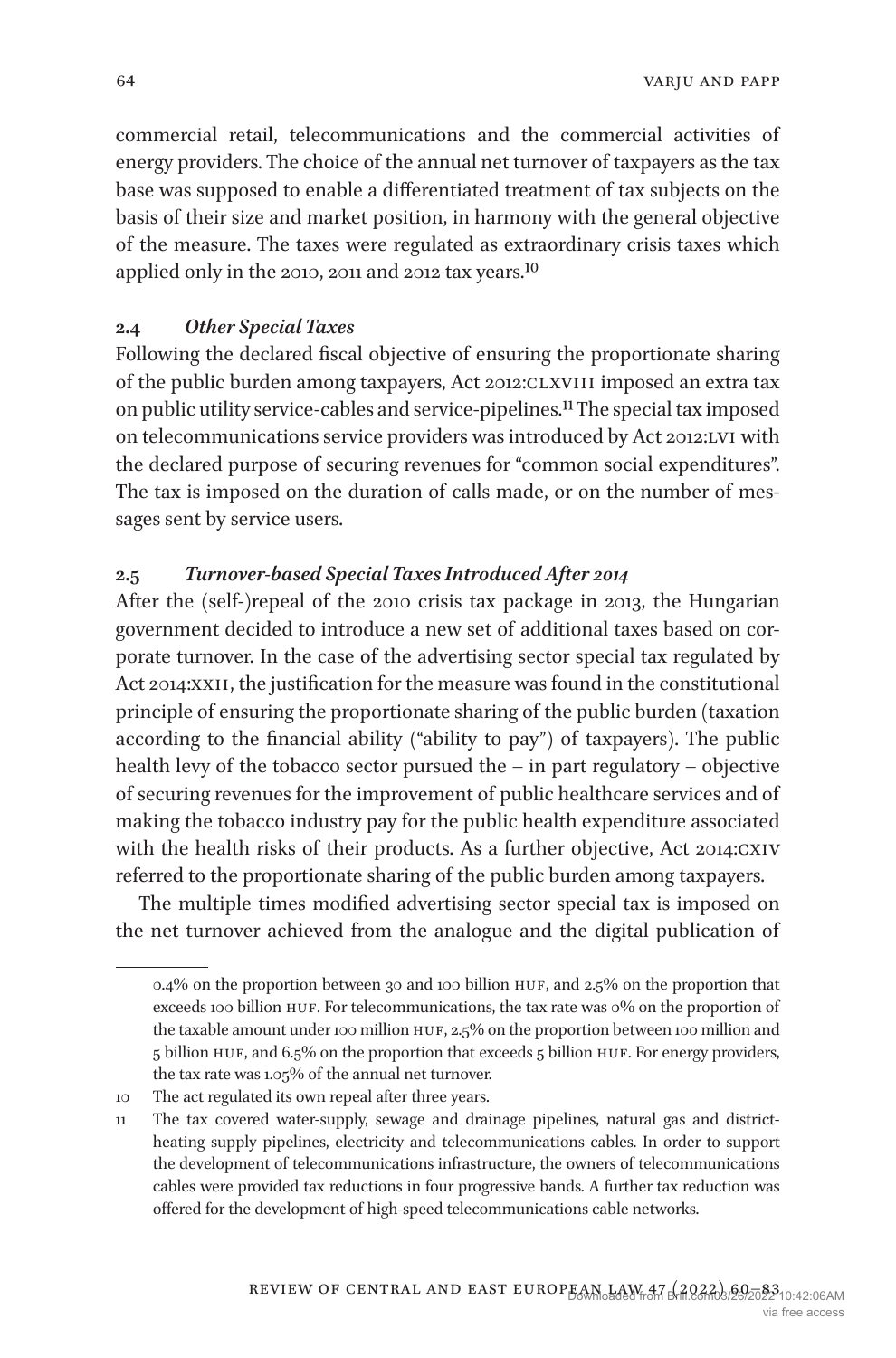commercial retail, telecommunications and the commercial activities of energy providers. The choice of the annual net turnover of taxpayers as the tax base was supposed to enable a differentiated treatment of tax subjects on the basis of their size and market position, in harmony with the general objective of the measure. The taxes were regulated as extraordinary crisis taxes which applied only in the 2010, 2011 and 2012 tax years[.10](#page-4-0)

#### **2.4** *Other Special Taxes*

Following the declared fiscal objective of ensuring the proportionate sharing of the public burden among taxpayers, Act 2012:CLXVIII imposed an extra tax on public utility service-cables and service-pipelines[.11](#page-4-1) The special tax imposed on telecommunications service providers was introduced by Act 2012:lvi with the declared purpose of securing revenues for "common social expenditures". The tax is imposed on the duration of calls made, or on the number of messages sent by service users.

#### **2.5** *Turnover-based Special Taxes Introduced After 2014*

After the (self-)repeal of the 2010 crisis tax package in 2013, the Hungarian government decided to introduce a new set of additional taxes based on corporate turnover. In the case of the advertising sector special tax regulated by Act 2014:XXII, the justification for the measure was found in the constitutional principle of ensuring the proportionate sharing of the public burden (taxation according to the financial ability ("ability to pay") of taxpayers). The public health levy of the tobacco sector pursued the – in part regulatory – objective of securing revenues for the improvement of public healthcare services and of making the tobacco industry pay for the public health expenditure associated with the health risks of their products. As a further objective, Act 2014:CXIV referred to the proportionate sharing of the public burden among taxpayers.

The multiple times modified advertising sector special tax is imposed on the net turnover achieved from the analogue and the digital publication of

<sup>0.4%</sup> on the proportion between 30 and 100 billion huf, and 2.5% on the proportion that exceeds 100 billion HUF. For telecommunications, the tax rate was 0% on the proportion of the taxable amount under 100 million HUF, 2.5% on the proportion between 100 million and 5 billion huf, and 6.5% on the proportion that exceeds 5 billion huf. For energy providers, the tax rate was 1.05% of the annual net turnover.

<span id="page-4-0"></span><sup>10</sup> The act regulated its own repeal after three years.

<span id="page-4-1"></span><sup>11</sup> The tax covered water-supply, sewage and drainage pipelines, natural gas and districtheating supply pipelines, electricity and telecommunications cables. In order to support the development of telecommunications infrastructure, the owners of telecommunications cables were provided tax reductions in four progressive bands. A further tax reduction was offered for the development of high-speed telecommunications cable networks.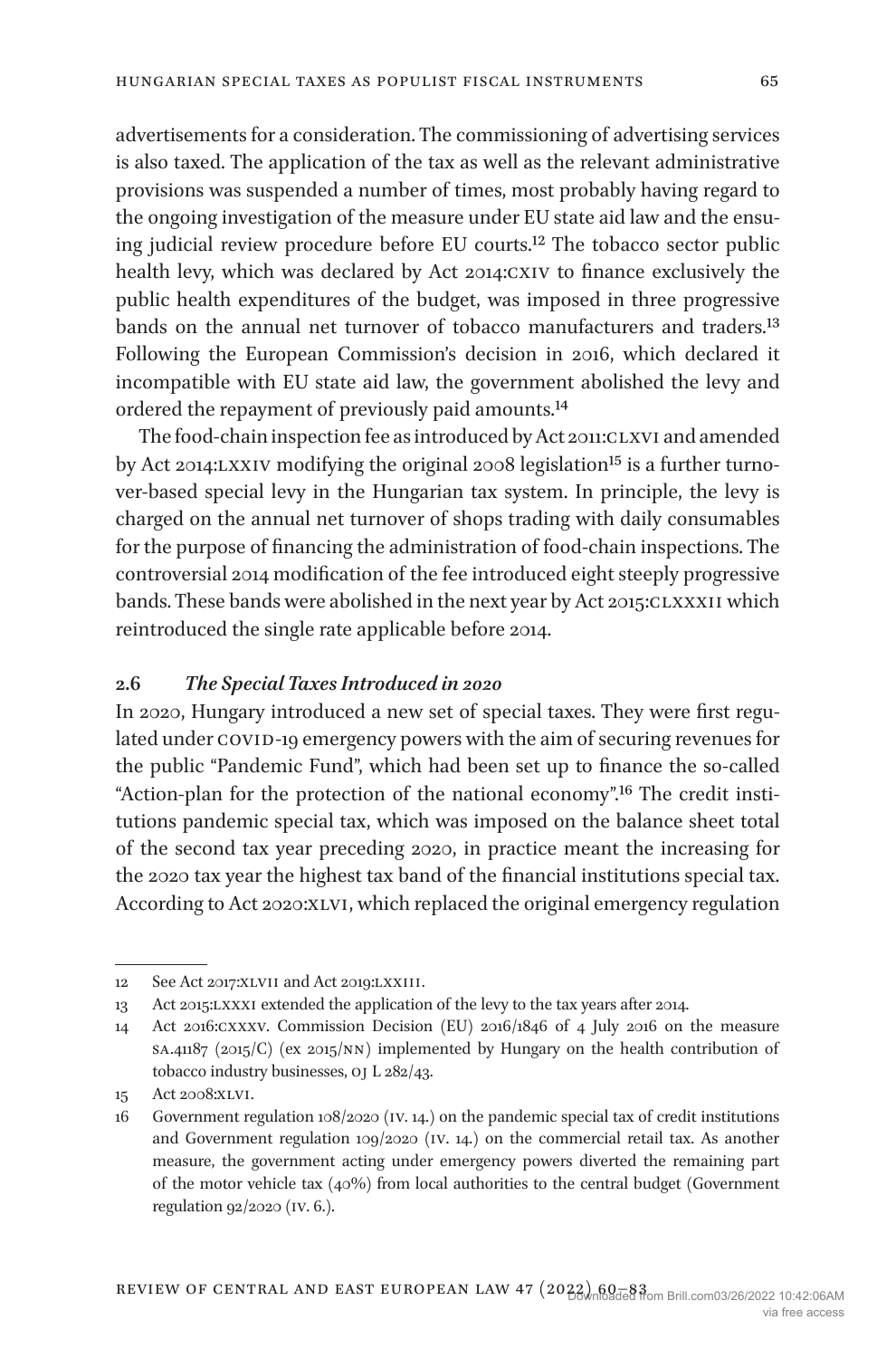advertisements for a consideration. The commissioning of advertising services is also taxed. The application of the tax as well as the relevant administrative provisions was suspended a number of times, most probably having regard to the ongoing investigation of the measure under EU state aid law and the ensuing judicial review procedure before EU courts[.12](#page-5-0) The tobacco sector public health levy, which was declared by Act 2014:cxiv to finance exclusively the public health expenditures of the budget, was imposed in three progressive bands on the annual net turnover of tobacco manufacturers and traders.<sup>13</sup> Following the European Commission's decision in 2016, which declared it incompatible with EU state aid law, the government abolished the levy and ordered the repayment of previously paid amounts[.14](#page-5-2)

The food-chain inspection fee as introduced by Act 2011:CLXVI and amended by Act 2014:LXXIV modifying the original 2008 legislation<sup>[15](#page-5-3)</sup> is a further turnover-based special levy in the Hungarian tax system. In principle, the levy is charged on the annual net turnover of shops trading with daily consumables for the purpose of financing the administration of food-chain inspections. The controversial 2014 modification of the fee introduced eight steeply progressive bands. These bands were abolished in the next year by Act 2015:CLXXXII which reintroduced the single rate applicable before 2014.

#### **2.6** *The Special Taxes Introduced in 2020*

In 2020, Hungary introduced a new set of special taxes. They were first regulated under COVID-19 emergency powers with the aim of securing revenues for the public "Pandemic Fund", which had been set up to finance the so-called "Action-plan for the protection of the national economy".[16](#page-5-4) The credit institutions pandemic special tax, which was imposed on the balance sheet total of the second tax year preceding 2020, in practice meant the increasing for the 2020 tax year the highest tax band of the financial institutions special tax. According to Act 2020:XLVI, which replaced the original emergency regulation

<span id="page-5-0"></span><sup>12</sup> See Act 2017:XLVII and Act 2019:LXXIII.

<span id="page-5-1"></span><sup>13</sup> Act 2015:lxxxi extended the application of the levy to the tax years after 2014.

<span id="page-5-2"></span><sup>14</sup> Act 2016:cxxxv. Commission Decision (EU) 2016/1846 of 4 July 2016 on the measure  $SA.41187$  (2015/C) (ex 2015/NN) implemented by Hungary on the health contribution of tobacco industry businesses, oj L 282/43.

<span id="page-5-3"></span><sup>15</sup> Act 2008:xlvi.

<span id="page-5-4"></span><sup>16</sup> Government regulation  $108/2020$  (IV. 14.) on the pandemic special tax of credit institutions and Government regulation 109/2020 (iv. 14.) on the commercial retail tax. As another measure, the government acting under emergency powers diverted the remaining part of the motor vehicle tax (40%) from local authorities to the central budget (Government regulation 92/2020 (iv. 6.).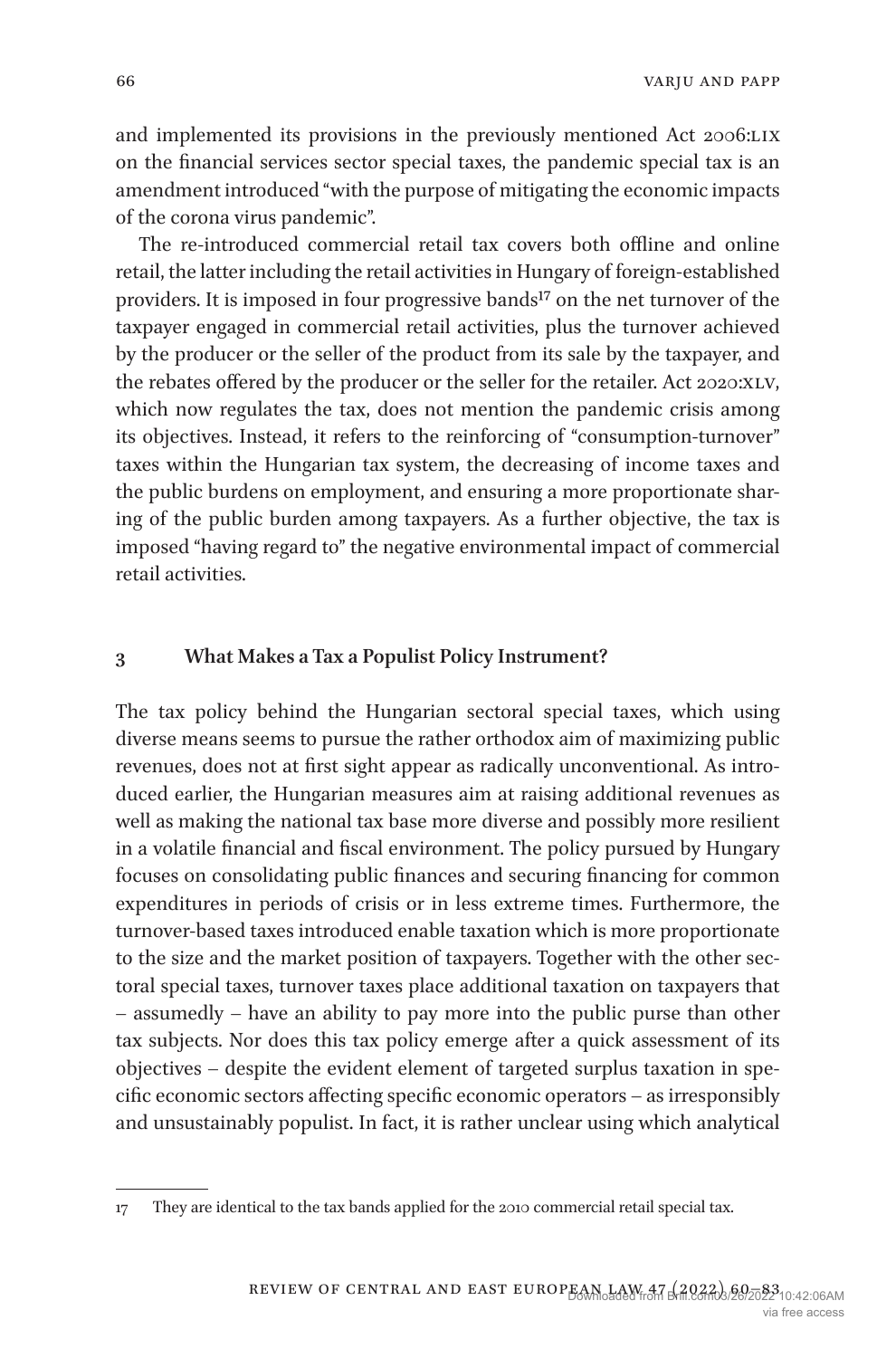varju and papp

and implemented its provisions in the previously mentioned Act 2006:LIX on the financial services sector special taxes, the pandemic special tax is an amendment introduced "with the purpose of mitigating the economic impacts of the corona virus pandemic".

The re-introduced commercial retail tax covers both offline and online retail, the latter including the retail activities in Hungary of foreign-established providers. It is imposed in four progressive bands<sup>17</sup> on the net turnover of the taxpayer engaged in commercial retail activities, plus the turnover achieved by the producer or the seller of the product from its sale by the taxpayer, and the rebates offered by the producer or the seller for the retailer. Act 2020:XLV, which now regulates the tax, does not mention the pandemic crisis among its objectives. Instead, it refers to the reinforcing of "consumption-turnover" taxes within the Hungarian tax system, the decreasing of income taxes and the public burdens on employment, and ensuring a more proportionate sharing of the public burden among taxpayers. As a further objective, the tax is imposed "having regard to" the negative environmental impact of commercial retail activities.

#### **3 What Makes a Tax a Populist Policy Instrument?**

The tax policy behind the Hungarian sectoral special taxes, which using diverse means seems to pursue the rather orthodox aim of maximizing public revenues, does not at first sight appear as radically unconventional. As introduced earlier, the Hungarian measures aim at raising additional revenues as well as making the national tax base more diverse and possibly more resilient in a volatile financial and fiscal environment. The policy pursued by Hungary focuses on consolidating public finances and securing financing for common expenditures in periods of crisis or in less extreme times. Furthermore, the turnover-based taxes introduced enable taxation which is more proportionate to the size and the market position of taxpayers. Together with the other sectoral special taxes, turnover taxes place additional taxation on taxpayers that – assumedly – have an ability to pay more into the public purse than other tax subjects. Nor does this tax policy emerge after a quick assessment of its objectives – despite the evident element of targeted surplus taxation in specific economic sectors affecting specific economic operators – as irresponsibly and unsustainably populist. In fact, it is rather unclear using which analytical

<span id="page-6-0"></span><sup>17</sup> They are identical to the tax bands applied for the 2010 commercial retail special tax.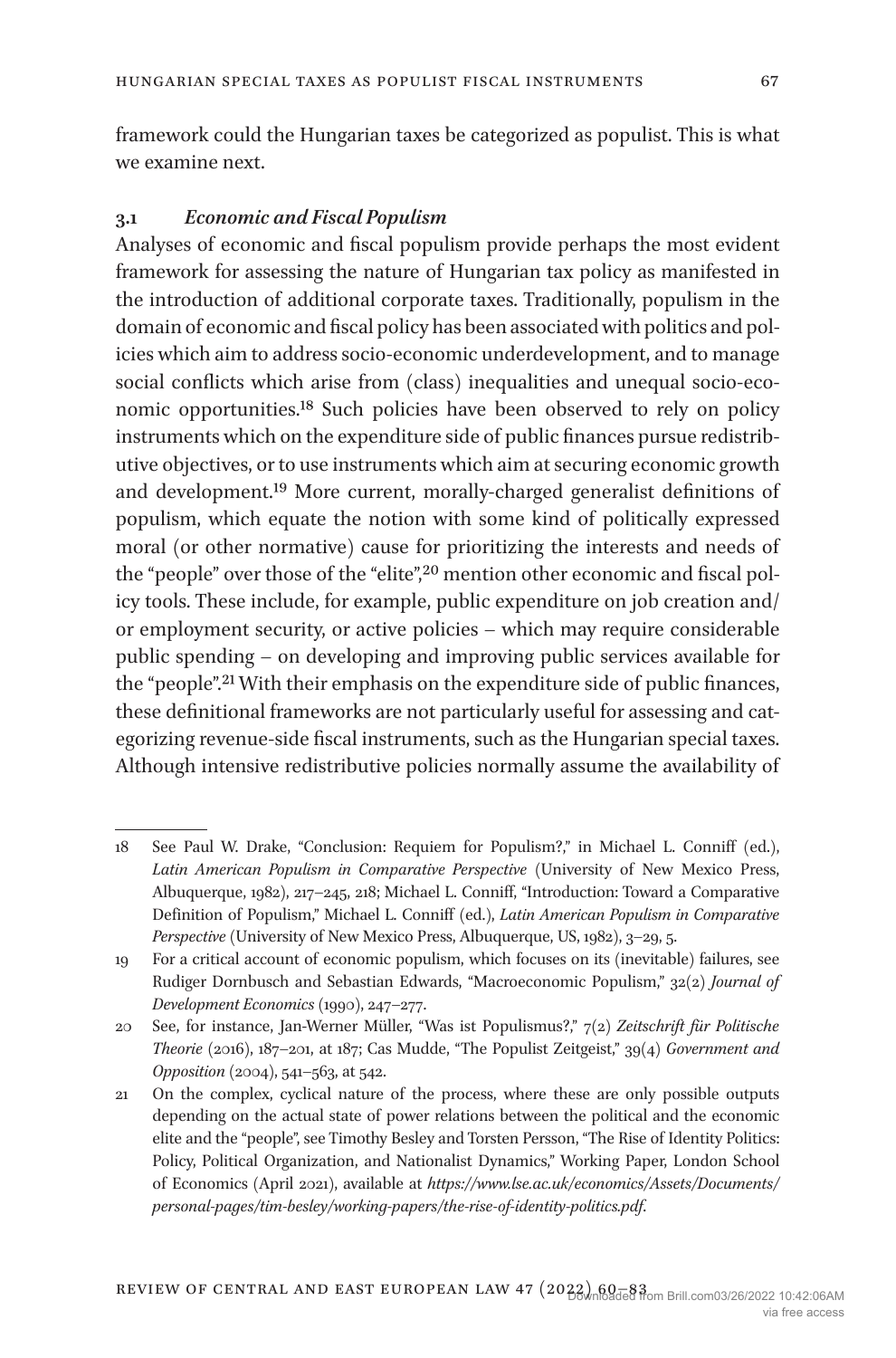framework could the Hungarian taxes be categorized as populist. This is what we examine next.

#### **3.1** *Economic and Fiscal Populism*

Analyses of economic and fiscal populism provide perhaps the most evident framework for assessing the nature of Hungarian tax policy as manifested in the introduction of additional corporate taxes. Traditionally, populism in the domain of economic and fiscal policy has been associated with politics and policies which aim to address socio-economic underdevelopment, and to manage social conflicts which arise from (class) inequalities and unequal socio-economic opportunities[.18](#page-7-0) Such policies have been observed to rely on policy instruments which on the expenditure side of public finances pursue redistributive objectives, or to use instruments which aim at securing economic growth and development[.19](#page-7-1) More current, morally-charged generalist definitions of populism, which equate the notion with some kind of politically expressed moral (or other normative) cause for prioritizing the interests and needs of the "people" over those of the "elite",<sup>20</sup> mention other economic and fiscal policy tools. These include, for example, public expenditure on job creation and/ or employment security, or active policies – which may require considerable public spending – on developing and improving public services available for the "people".[21](#page-7-3) With their emphasis on the expenditure side of public finances, these definitional frameworks are not particularly useful for assessing and categorizing revenue-side fiscal instruments, such as the Hungarian special taxes. Although intensive redistributive policies normally assume the availability of

<span id="page-7-0"></span><sup>18</sup> See Paul W. Drake, "Conclusion: Requiem for Populism?," in Michael L. Conniff (ed.), *Latin American Populism in Comparative Perspective* (University of New Mexico Press, Albuquerque, 1982), 217–245, 218; Michael L. Conniff, "Introduction: Toward a Comparative Definition of Populism," Michael L. Conniff (ed.), *Latin American Populism in Comparative Perspective* (University of New Mexico Press, Albuquerque, US, 1982), 3–29, 5.

<span id="page-7-1"></span><sup>19</sup> For a critical account of economic populism, which focuses on its (inevitable) failures, see Rudiger Dornbusch and Sebastian Edwards, "Macroeconomic Populism," 32(2) *Journal of Development Economics* (1990), 247–277.

<span id="page-7-2"></span><sup>20</sup> See, for instance, Jan-Werner Müller, "Was ist Populismus?," 7(2*) Zeitschrift für Politische Theorie* (2016), 187–201, at 187; Cas Mudde, "The Populist Zeitgeist," 39(4) *Government and Opposition* (2004), 541–563, at 542.

<span id="page-7-3"></span><sup>21</sup> On the complex, cyclical nature of the process, where these are only possible outputs depending on the actual state of power relations between the political and the economic elite and the "people", see Timothy Besley and Torsten Persson, "The Rise of Identity Politics: Policy, Political Organization, and Nationalist Dynamics," Working Paper, London School of Economics (April 2021), available at *[https://www.lse.ac.uk/economics/Assets/Documents/](https://www.lse.ac.uk/economics/Assets/Documents/personal-pages/tim-besley/working-papers/the-rise-of-identity-politics.pdf) [personal-pages/tim-besley/working-papers/the-rise-of-identity-politics.pdf](https://www.lse.ac.uk/economics/Assets/Documents/personal-pages/tim-besley/working-papers/the-rise-of-identity-politics.pdf)*.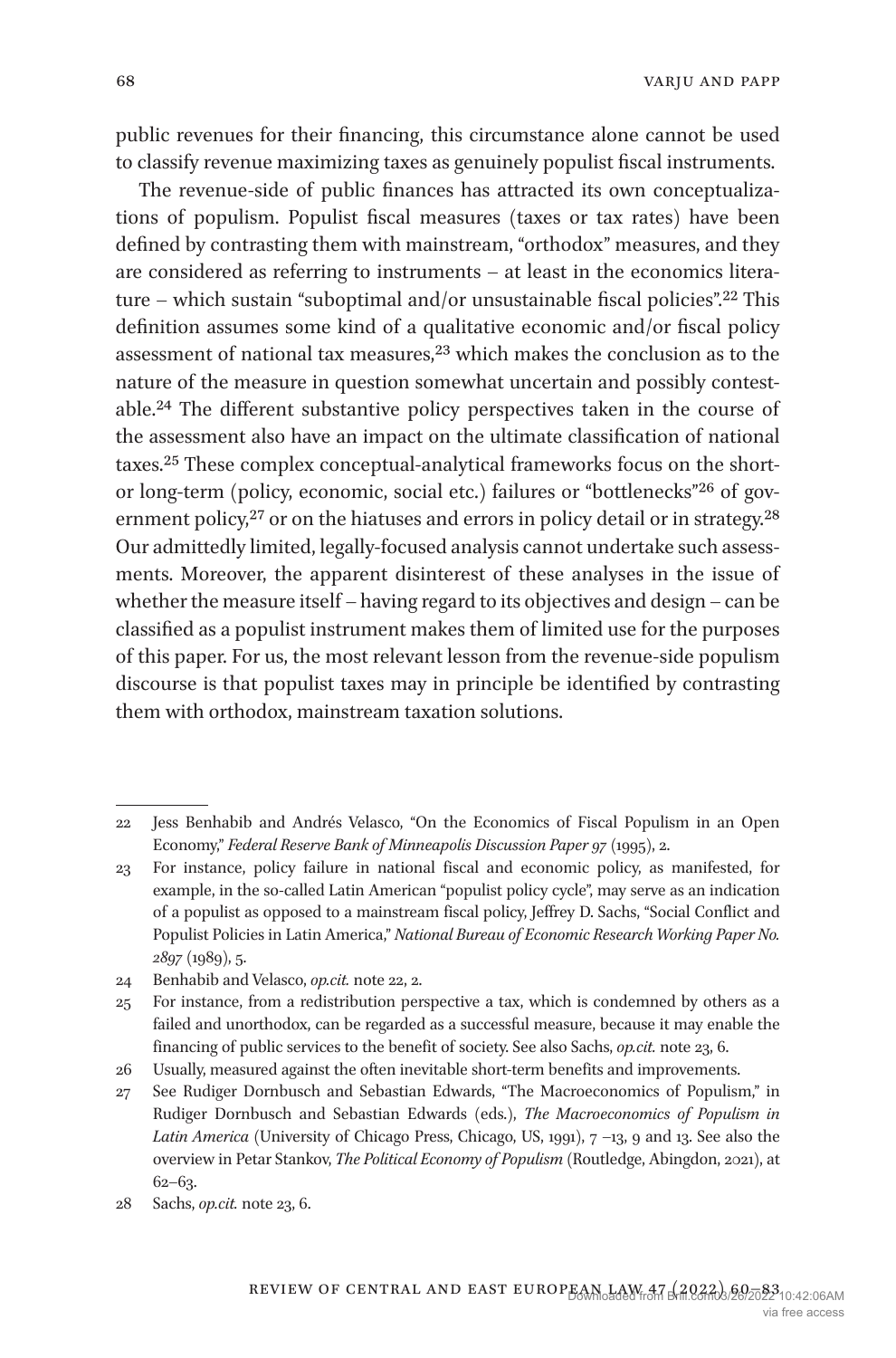public revenues for their financing, this circumstance alone cannot be used to classify revenue maximizing taxes as genuinely populist fiscal instruments.

The revenue-side of public finances has attracted its own conceptualizations of populism. Populist fiscal measures (taxes or tax rates) have been defined by contrasting them with mainstream, "orthodox" measures, and they are considered as referring to instruments – at least in the economics literature – which sustain "suboptimal and/or unsustainable fiscal policies".<sup>22</sup> This definition assumes some kind of a qualitative economic and/or fiscal policy assessment of national tax measures[,23](#page-8-1) which makes the conclusion as to the nature of the measure in question somewhat uncertain and possibly contestable.[24](#page-8-2) The different substantive policy perspectives taken in the course of the assessment also have an impact on the ultimate classification of national taxes[.25](#page-8-3) These complex conceptual-analytical frameworks focus on the shortor long-term (policy, economic, social etc.) failures or "bottlenecks"[26](#page-8-4) of government policy, $27$  or on the hiatuses and errors in policy detail or in strategy. $28$ Our admittedly limited, legally-focused analysis cannot undertake such assessments. Moreover, the apparent disinterest of these analyses in the issue of whether the measure itself – having regard to its objectives and design – can be classified as a populist instrument makes them of limited use for the purposes of this paper. For us, the most relevant lesson from the revenue-side populism discourse is that populist taxes may in principle be identified by contrasting them with orthodox, mainstream taxation solutions.

<span id="page-8-0"></span><sup>22</sup> Jess Benhabib and Andrés Velasco, "On the Economics of Fiscal Populism in an Open Economy," *Federal Reserve Bank of Minneapolis Discussion Paper 97* (1995), 2.

<span id="page-8-1"></span><sup>23</sup> For instance, policy failure in national fiscal and economic policy, as manifested, for example, in the so-called Latin American "populist policy cycle", may serve as an indication of a populist as opposed to a mainstream fiscal policy, Jeffrey D. Sachs, "Social Conflict and Populist Policies in Latin America," *National Bureau of Economic Research Working Paper No. 2897* (1989), 5.

<span id="page-8-2"></span><sup>24</sup> Benhabib and Velasco, *op.cit.* note 22, 2.

<span id="page-8-3"></span><sup>25</sup> For instance, from a redistribution perspective a tax, which is condemned by others as a failed and unorthodox, can be regarded as a successful measure, because it may enable the financing of public services to the benefit of society. See also Sachs, *op.cit.* note 23, 6.

<span id="page-8-4"></span><sup>26</sup> Usually, measured against the often inevitable short-term benefits and improvements.

<span id="page-8-5"></span><sup>27</sup> See Rudiger Dornbusch and Sebastian Edwards, "The Macroeconomics of Populism," in Rudiger Dornbusch and Sebastian Edwards (eds.), *The Macroeconomics of Populism in Latin America* (University of Chicago Press, Chicago, US, 1991), 7 –13, 9 and 13. See also the overview in Petar Stankov, *The Political Economy of Populism* (Routledge, Abingdon, 2021), at 62–63.

<span id="page-8-6"></span><sup>28</sup> Sachs, *op.cit.* note 23, 6.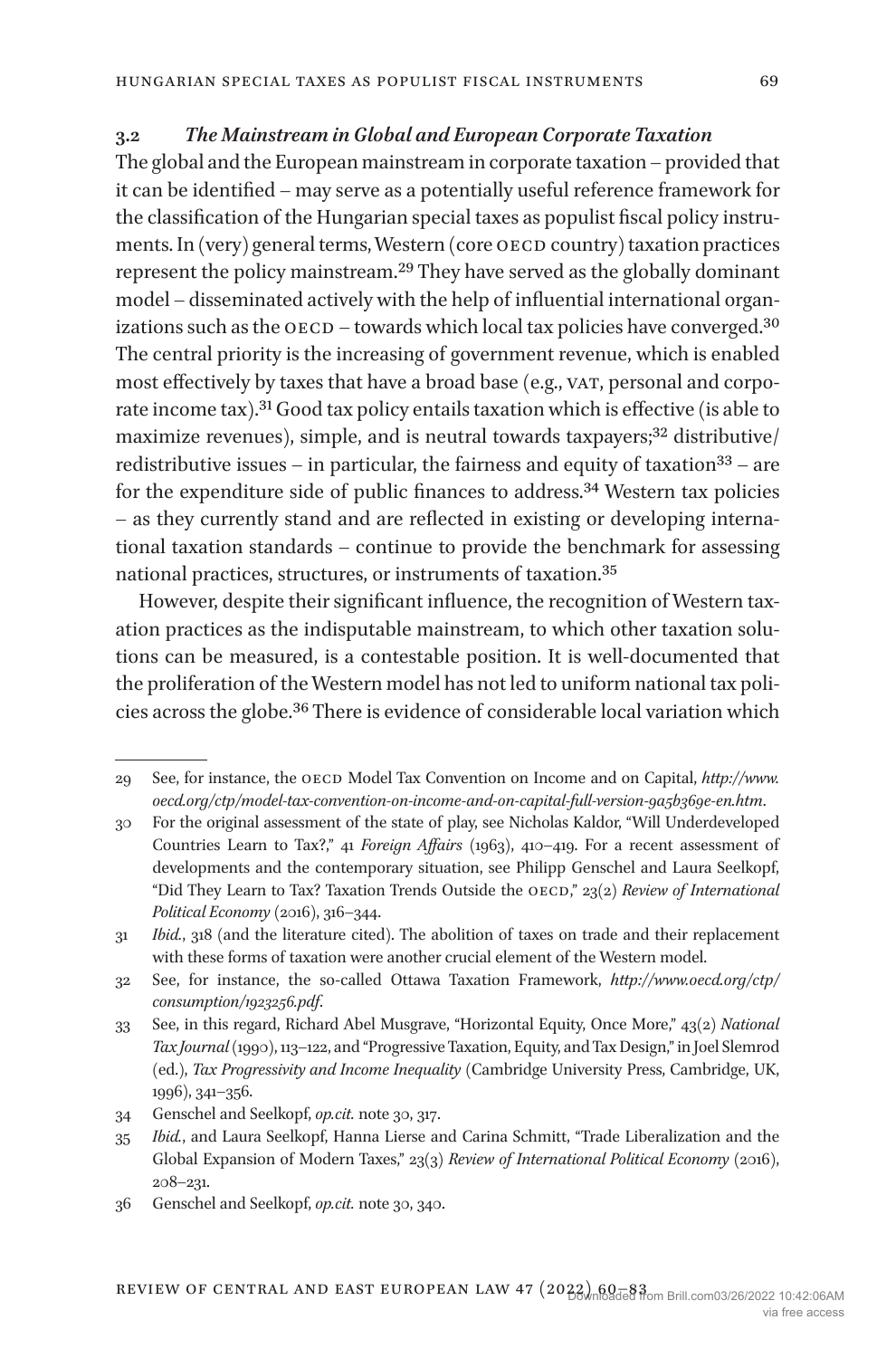#### **3.2** *The Mainstream in Global and European Corporate Taxation*

The global and the European mainstream in corporate taxation – provided that it can be identified – may serve as a potentially useful reference framework for the classification of the Hungarian special taxes as populist fiscal policy instruments. In (very) general terms, Western (core OECD country) taxation practices represent the policy mainstream[.29](#page-9-0) They have served as the globally dominant model – disseminated actively with the help of influential international organizations such as the  $\alpha$ ECD – towards which local tax policies have converged.<sup>[30](#page-9-1)</sup> The central priority is the increasing of government revenue, which is enabled most effectively by taxes that have a broad base (e.g., VAT, personal and corporate income tax)[.31](#page-9-2) Good tax policy entails taxation which is effective (is able to maximize revenues), simple, and is neutral towards taxpayers;<sup>32</sup> distributive/ redistributive issues – in particular, the fairness and equity of taxation<sup>[33](#page-9-4)</sup> – are for the expenditure side of public finances to address.<sup>34</sup> Western tax policies – as they currently stand and are reflected in existing or developing international taxation standards – continue to provide the benchmark for assessing national practices, structures, or instruments of taxation[.35](#page-9-6)

However, despite their significant influence, the recognition of Western taxation practices as the indisputable mainstream, to which other taxation solutions can be measured, is a contestable position. It is well-documented that the proliferation of the Western model has not led to uniform national tax policies across the globe.[36](#page-9-7) There is evidence of considerable local variation which

<span id="page-9-0"></span><sup>29</sup> See, for instance, the oecd Model Tax Convention on Income and on Capital, *[http://www.](http://www.oecd.org/ctp/model-tax-convention-on-income-and-on-capital-full-version-9a5b369e-en.htm) [oecd.org/ctp/model-tax-convention-on-income-and-on-capital-full-version-9a5b369e-en.htm](http://www.oecd.org/ctp/model-tax-convention-on-income-and-on-capital-full-version-9a5b369e-en.htm)*.

<span id="page-9-1"></span><sup>30</sup> For the original assessment of the state of play, see Nicholas Kaldor, "Will Underdeveloped Countries Learn to Tax?," 41 *Foreign Affairs* (1963), 410–419. For a recent assessment of developments and the contemporary situation, see Philipp Genschel and Laura Seelkopf, "Did They Learn to Tax? Taxation Trends Outside the OECD," 23(2) Review of International *Political Economy* (2016), 316–344.

<span id="page-9-2"></span><sup>31</sup> *Ibid.*, 318 (and the literature cited). The abolition of taxes on trade and their replacement with these forms of taxation were another crucial element of the Western model.

<span id="page-9-3"></span><sup>32</sup> See, for instance, the so-called Ottawa Taxation Framework, *[http://www.oecd.org/ctp/](http://www.oecd.org/ctp/consumption/1923256.pdf) [consumption/1923256.pdf](http://www.oecd.org/ctp/consumption/1923256.pdf)*.

<span id="page-9-4"></span><sup>33</sup> See, in this regard, Richard Abel Musgrave, "Horizontal Equity, Once More," 43(2) *National Tax Journal* (1990), 113–122, and "Progressive Taxation, Equity, and Tax Design," in Joel Slemrod (ed.), *Tax Progressivity and Income Inequality* (Cambridge University Press, Cambridge, UK, 1996), 341–356.

<span id="page-9-5"></span><sup>34</sup> Genschel and Seelkopf, *op.cit.* note 30, 317.

<span id="page-9-6"></span><sup>35</sup> *Ibid.*, and Laura Seelkopf, Hanna Lierse and Carina Schmitt, "Trade Liberalization and the Global Expansion of Modern Taxes," 23(3) *Review of International Political Economy* (2016), 208–231.

<span id="page-9-7"></span><sup>36</sup> Genschel and Seelkopf, *op.cit.* note 30, 340.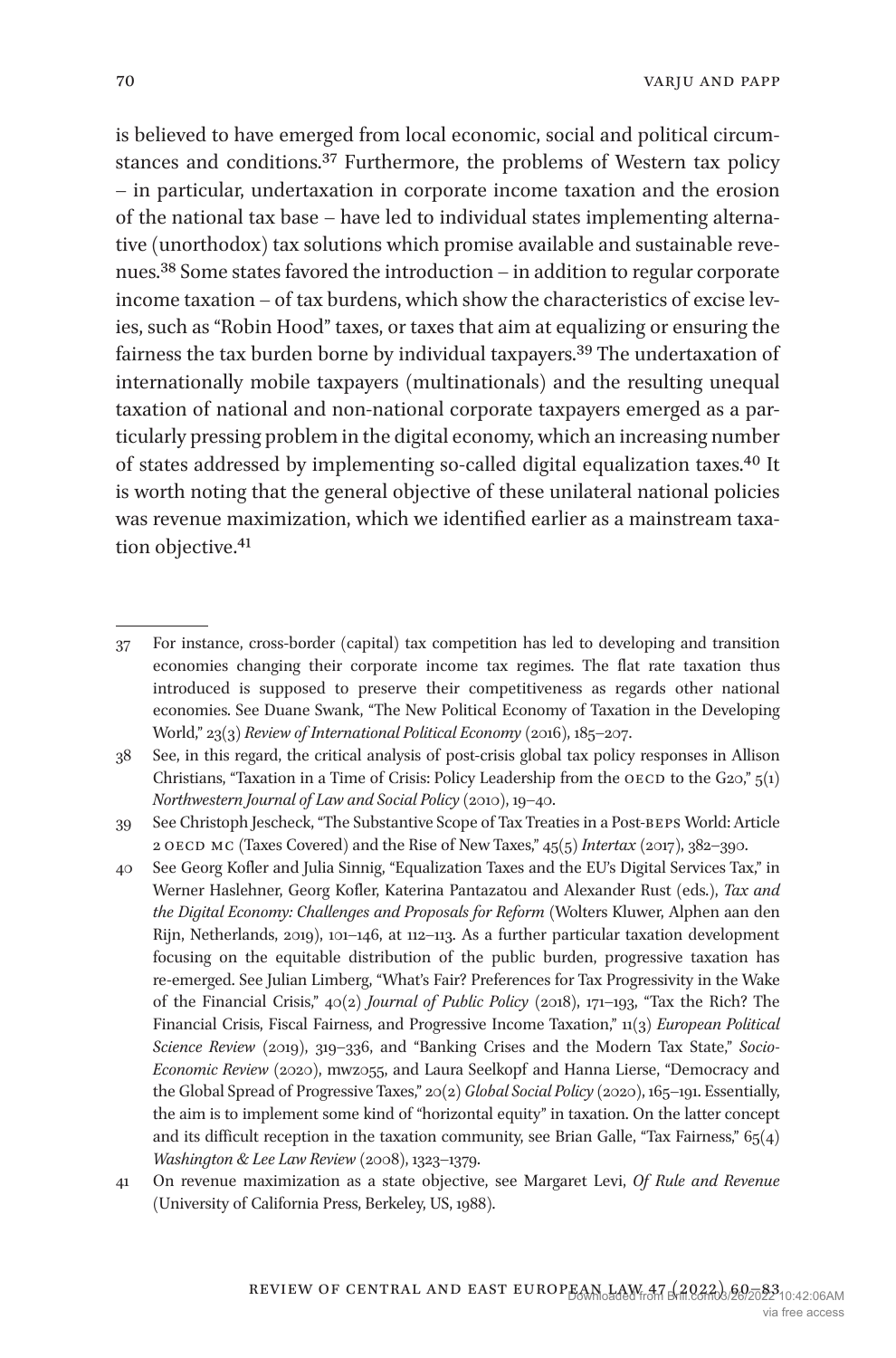is believed to have emerged from local economic, social and political circumstances and conditions[.37](#page-10-0) Furthermore, the problems of Western tax policy – in particular, undertaxation in corporate income taxation and the erosion of the national tax base – have led to individual states implementing alternative (unorthodox) tax solutions which promise available and sustainable revenues.[38](#page-10-1) Some states favored the introduction – in addition to regular corporate income taxation – of tax burdens, which show the characteristics of excise levies, such as "Robin Hood" taxes, or taxes that aim at equalizing or ensuring the fairness the tax burden borne by individual taxpayers.[39](#page-10-2) The undertaxation of internationally mobile taxpayers (multinationals) and the resulting unequal taxation of national and non-national corporate taxpayers emerged as a particularly pressing problem in the digital economy, which an increasing number of states addressed by implementing so-called digital equalization taxes[.40](#page-10-3) It is worth noting that the general objective of these unilateral national policies was revenue maximization, which we identified earlier as a mainstream taxa-tion objective.<sup>[41](#page-10-4)</sup>

<span id="page-10-1"></span>38 See, in this regard, the critical analysis of post-crisis global tax policy responses in Allison Christians, "Taxation in a Time of Crisis: Policy Leadership from the OECD to the G20,"  $5(1)$ *Northwestern Journal of Law and Social Policy* (2010), 19–40.

<span id="page-10-2"></span>39 See Christoph Jescheck, "The Substantive Scope of Tax Treaties in a Post-beps World: Article 2 OECD MC (Taxes Covered) and the Rise of New Taxes," 45(5) *Intertax* (2017), 382-390.

- <span id="page-10-3"></span>40 See Georg Kofler and Julia Sinnig, "Equalization Taxes and the EU's Digital Services Tax," in Werner Haslehner, Georg Kofler, Katerina Pantazatou and Alexander Rust (eds.), *Tax and the Digital Economy: Challenges and Proposals for Reform* (Wolters Kluwer, Alphen aan den Rijn, Netherlands, 2019), 101–146, at 112–113. As a further particular taxation development focusing on the equitable distribution of the public burden, progressive taxation has re-emerged. See Julian Limberg, "What's Fair? Preferences for Tax Progressivity in the Wake of the Financial Crisis," 40(2) *Journal of Public Policy* (2018), 171–193, "Tax the Rich? The Financial Crisis, Fiscal Fairness, and Progressive Income Taxation," 11(3) *European Political Science Review* (2019), 319–336, and "Banking Crises and the Modern Tax State," *Socio-Economic Review* (2020), mwz055, and Laura Seelkopf and Hanna Lierse, "Democracy and the Global Spread of Progressive Taxes," 20(2) *Global Social Policy* (2020), 165–191. Essentially, the aim is to implement some kind of "horizontal equity" in taxation. On the latter concept and its difficult reception in the taxation community, see Brian Galle, "Tax Fairness,"  $65(4)$ *Washington & Lee Law Review* (2008), 1323–1379.
- <span id="page-10-4"></span>41 On revenue maximization as a state objective, see Margaret Levi, *Of Rule and Revenue* (University of California Press, Berkeley, US, 1988).

<span id="page-10-0"></span><sup>37</sup> For instance, cross-border (capital) tax competition has led to developing and transition economies changing their corporate income tax regimes. The flat rate taxation thus introduced is supposed to preserve their competitiveness as regards other national economies. See Duane Swank, "The New Political Economy of Taxation in the Developing World," 23(3) *Review of International Political Economy* (2016), 185–207.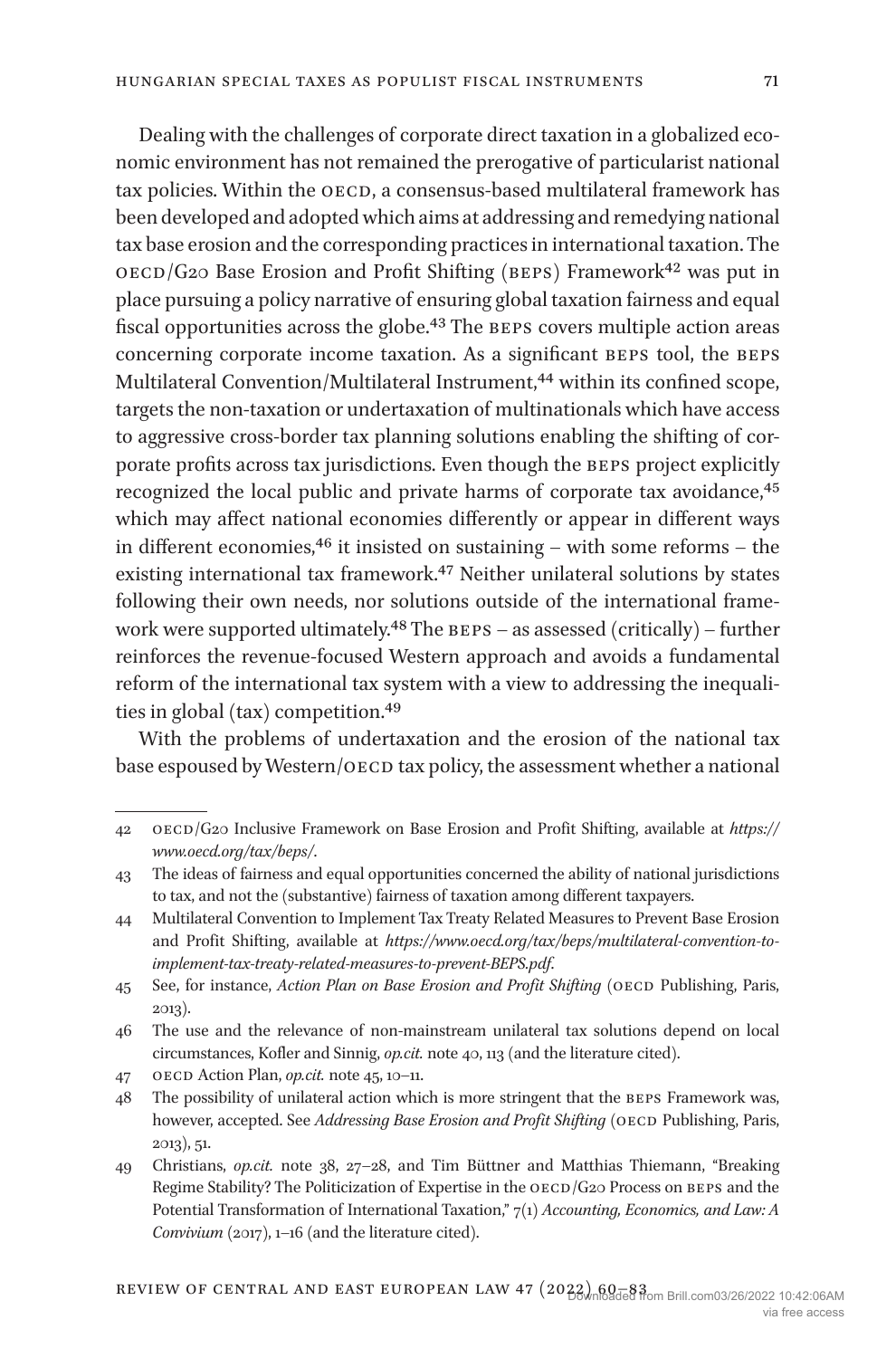Dealing with the challenges of corporate direct taxation in a globalized economic environment has not remained the prerogative of particularist national tax policies. Within the OECD, a consensus-based multilateral framework has been developed and adopted which aims at addressing and remedying national tax base erosion and the corresponding practices in international taxation. The  $OECD/G2O$  Base Erosion and Profit Shifting (BEPS) Framework<sup>42</sup> was put in place pursuing a policy narrative of ensuring global taxation fairness and equal fiscal opportunities across the globe.<sup>43</sup> The BEPS covers multiple action areas concerning corporate income taxation. As a significant BEPS tool, the BEPS Multilateral Convention/Multilateral Instrument,<sup>44</sup> within its confined scope, targets the non-taxation or undertaxation of multinationals which have access to aggressive cross-border tax planning solutions enabling the shifting of corporate profits across tax jurisdictions. Even though the BEPS project explicitly recognized the local public and private harms of corporate tax avoidance,<sup>[45](#page-11-3)</sup> which may affect national economies differently or appear in different ways in different economies,  $46$  it insisted on sustaining – with some reforms – the existing international tax framework[.47](#page-11-5) Neither unilateral solutions by states following their own needs, nor solutions outside of the international framework were supported ultimately.<sup>48</sup> The  $BES - as$  assessed (critically) – further reinforces the revenue-focused Western approach and avoids a fundamental reform of the international tax system with a view to addressing the inequalities in global (tax) competition.[49](#page-11-7)

With the problems of undertaxation and the erosion of the national tax base espoused by Western/OECD tax policy, the assessment whether a national

<span id="page-11-0"></span><sup>42</sup> oecd/G20 Inclusive Framework on Base Erosion and Profit Shifting, available at *[https://](https://www.oecd.org/tax/beps/) [www.oecd.org/tax/beps/](https://www.oecd.org/tax/beps/)*.

<span id="page-11-1"></span><sup>43</sup> The ideas of fairness and equal opportunities concerned the ability of national jurisdictions to tax, and not the (substantive) fairness of taxation among different taxpayers.

<span id="page-11-2"></span><sup>44</sup> Multilateral Convention to Implement Tax Treaty Related Measures to Prevent Base Erosion and Profit Shifting, available at *[https://www.oecd.org/tax/beps/multilateral-convention-to](https://www.oecd.org/tax/beps/multilateral-convention-to-implement-tax-treaty-related-measures-to-prevent-BEPS.pdf)[implement-tax-treaty-related-measures-to-prevent-BEPS.pdf](https://www.oecd.org/tax/beps/multilateral-convention-to-implement-tax-treaty-related-measures-to-prevent-BEPS.pdf)*.

<span id="page-11-3"></span><sup>45</sup> See, for instance, *Action Plan on Base Erosion and Profit Shifting* (oecd Publishing, Paris, 2013).

<span id="page-11-4"></span><sup>46</sup> The use and the relevance of non-mainstream unilateral tax solutions depend on local circumstances, Kofler and Sinnig, *op.cit.* note 40, 113 (and the literature cited).

<span id="page-11-5"></span><sup>47</sup> oecd Action Plan, *op.cit.* note 45, 10–11.

<span id="page-11-6"></span><sup>48</sup> The possibility of unilateral action which is more stringent that the beps Framework was, however, accepted. See *Addressing Base Erosion and Profit Shifting* (OECD Publishing, Paris, 2013), 51.

<span id="page-11-7"></span><sup>49</sup> Christians, *op.cit.* note 38, 27–28, and Tim Büttner and Matthias Thiemann, "Breaking Regime Stability? The Politicization of Expertise in the OECD/G20 Process on BEPS and the Potential Transformation of International Taxation," 7(1) *Accounting, Economics, and Law: A Convivium* (2017), 1–16 (and the literature cited).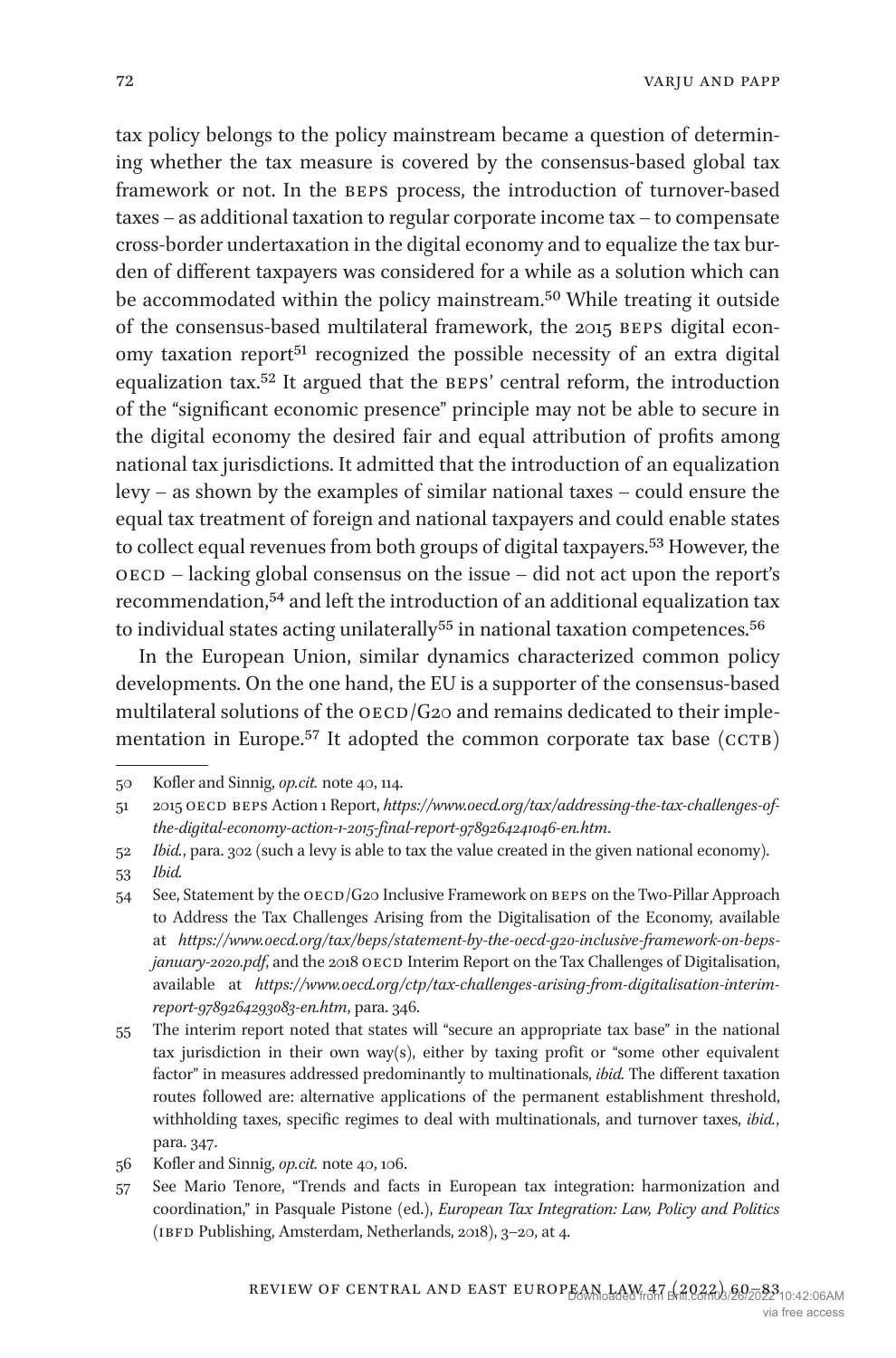tax policy belongs to the policy mainstream became a question of determining whether the tax measure is covered by the consensus-based global tax framework or not. In the beps process, the introduction of turnover-based taxes – as additional taxation to regular corporate income tax – to compensate cross-border undertaxation in the digital economy and to equalize the tax burden of different taxpayers was considered for a while as a solution which can be accommodated within the policy mainstream[.50](#page-12-0) While treating it outside of the consensus-based multilateral framework, the 2015 BEPS digital economy taxation report<sup>51</sup> recognized the possible necessity of an extra digital equalization tax.<sup>[52](#page-12-2)</sup> It argued that the BEPS' central reform, the introduction of the "significant economic presence" principle may not be able to secure in the digital economy the desired fair and equal attribution of profits among national tax jurisdictions. It admitted that the introduction of an equalization levy – as shown by the examples of similar national taxes – could ensure the equal tax treatment of foreign and national taxpayers and could enable states to collect equal revenues from both groups of digital taxpayers.<sup>53</sup> However, the oecd – lacking global consensus on the issue – did not act upon the report's recommendation[,54](#page-12-4) and left the introduction of an additional equalization tax to individual states acting unilaterally<sup>55</sup> in national taxation competences.<sup>[56](#page-12-6)</sup>

In the European Union, similar dynamics characterized common policy developments. On the one hand, the EU is a supporter of the consensus-based multilateral solutions of the  $OECD/G2O$  and remains dedicated to their implementation in Europe.<sup>57</sup> It adopted the common corporate tax base (CCTB)

<span id="page-12-0"></span><sup>50</sup> Kofler and Sinnig, *op.cit.* note 40, 114.

<span id="page-12-1"></span><sup>51</sup> 2015 oecd beps Action 1 Report, *[https://www.oecd.org/tax/addressing-the-tax-challenges-of](https://www.oecd.org/tax/addressing-the-tax-challenges-of-the-digital-economy-action-1-2015-final-report-9789264241046-en.htm)[the-digital-economy-action-1-2015-final-report-9789264241046-en.htm](https://www.oecd.org/tax/addressing-the-tax-challenges-of-the-digital-economy-action-1-2015-final-report-9789264241046-en.htm)*.

<span id="page-12-2"></span><sup>52</sup> *Ibid.*, para. 302 (such a levy is able to tax the value created in the given national economy).

<span id="page-12-3"></span><sup>53</sup> *Ibid.*

<span id="page-12-4"></span><sup>54</sup> See, Statement by the  $\overline{OECD}/\overline{G2O}$  Inclusive Framework on BEPS on the Two-Pillar Approach to Address the Tax Challenges Arising from the Digitalisation of the Economy, available at *[https://www.oecd.org/tax/beps/statement-by-the-oecd-g20-inclusive-framework-on-beps](https://www.oecd.org/tax/beps/statement-by-the-oecd-g20-inclusive-framework-on-beps-january-2020.pdf)[january-2020.pdf](https://www.oecd.org/tax/beps/statement-by-the-oecd-g20-inclusive-framework-on-beps-january-2020.pdf)*, and the 2018 OECD Interim Report on the Tax Challenges of Digitalisation, available at *[https://www.oecd.org/ctp/tax-challenges-arising-from-digitalisation-interim](https://www.oecd.org/ctp/tax-challenges-arising-from-digitalisation-interim-report-9789264293083-en.htm)[report-9789264293083-en.htm](https://www.oecd.org/ctp/tax-challenges-arising-from-digitalisation-interim-report-9789264293083-en.htm)*, para. 346.

<span id="page-12-5"></span><sup>55</sup> The interim report noted that states will "secure an appropriate tax base" in the national tax jurisdiction in their own way(s), either by taxing profit or "some other equivalent factor" in measures addressed predominantly to multinationals, *ibid.* The different taxation routes followed are: alternative applications of the permanent establishment threshold, withholding taxes, specific regimes to deal with multinationals, and turnover taxes, *ibid.*, para. 347.

<span id="page-12-6"></span><sup>56</sup> Kofler and Sinnig, *op.cit.* note 40, 106.

<span id="page-12-7"></span><sup>57</sup> See Mario Tenore, "Trends and facts in European tax integration: harmonization and coordination," in Pasquale Pistone (ed.), *European Tax Integration: Law, Policy and Politics* (IBFD Publishing, Amsterdam, Netherlands, 2018), 3-20, at 4.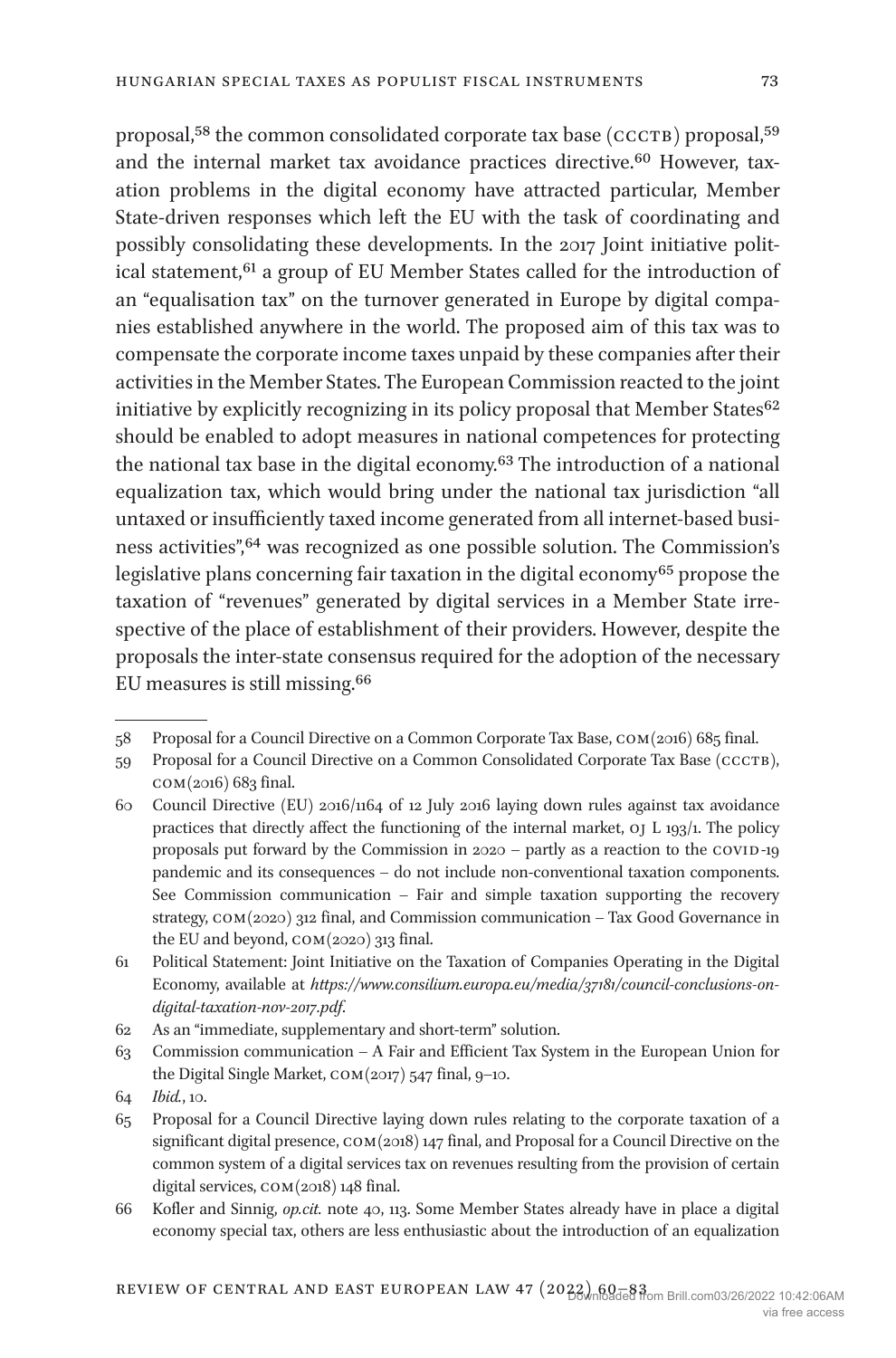proposal,<sup>[58](#page-13-0)</sup> the common consolidated corporate tax base (CCCTB) proposal,<sup>[59](#page-13-1)</sup> and the internal market tax avoidance practices directive[.60](#page-13-2) However, taxation problems in the digital economy have attracted particular, Member State-driven responses which left the EU with the task of coordinating and possibly consolidating these developments. In the 2017 Joint initiative political statement,<sup>61</sup> a group of EU Member States called for the introduction of an "equalisation tax" on the turnover generated in Europe by digital companies established anywhere in the world. The proposed aim of this tax was to compensate the corporate income taxes unpaid by these companies after their activities in the Member States. The European Commission reacted to the joint initiative by explicitly recognizing in its policy proposal that Member States<sup>[62](#page-13-4)</sup> should be enabled to adopt measures in national competences for protecting the national tax base in the digital economy[.63](#page-13-5) The introduction of a national equalization tax, which would bring under the national tax jurisdiction "all untaxed or insufficiently taxed income generated from all internet-based business activities"[,64](#page-13-6) was recognized as one possible solution. The Commission's legislative plans concerning fair taxation in the digital economy<sup>65</sup> propose the taxation of "revenues" generated by digital services in a Member State irrespective of the place of establishment of their providers. However, despite the proposals the inter-state consensus required for the adoption of the necessary EU measures is still missing[.66](#page-13-8)

<span id="page-13-0"></span><sup>58</sup> Proposal for a Council Directive on a Common Corporate Tax Base, com(2016) 685 final.

<span id="page-13-1"></span><sup>59</sup> Proposal for a Council Directive on a Common Consolidated Corporate Tax Base (ccctb), com(2016) 683 final.

<span id="page-13-2"></span><sup>60</sup> Council Directive (EU) 2016/1164 of 12 July 2016 laying down rules against tax avoidance practices that directly affect the functioning of the internal market, oj L 193/1. The policy proposals put forward by the Commission in 2020 - partly as a reaction to the COVID-19 pandemic and its consequences – do not include non-conventional taxation components. See Commission communication – Fair and simple taxation supporting the recovery strategy, com(2020) 312 final, and Commission communication – Tax Good Governance in the EU and beyond, com(2020) 313 final.

<span id="page-13-3"></span><sup>61</sup> Political Statement: Joint Initiative on the Taxation of Companies Operating in the Digital Economy, available at *[https://www.consilium.europa.eu/media/37181/council-conclusions-on](https://www.consilium.europa.eu/media/37181/council-conclusions-on-digital-taxation-nov-2017.pdf)[digital-taxation-nov-2017.pdf](https://www.consilium.europa.eu/media/37181/council-conclusions-on-digital-taxation-nov-2017.pdf)*.

<span id="page-13-4"></span><sup>62</sup> As an "immediate, supplementary and short-term" solution.

<span id="page-13-5"></span><sup>63</sup> Commission communication – A Fair and Efficient Tax System in the European Union for the Digital Single Market, com(2017) 547 final, 9–10.

<span id="page-13-6"></span><sup>64</sup> *Ibid.*, 10.

<span id="page-13-7"></span><sup>65</sup> Proposal for a Council Directive laying down rules relating to the corporate taxation of a significant digital presence, COM(2018) 147 final, and Proposal for a Council Directive on the common system of a digital services tax on revenues resulting from the provision of certain digital services, com(2018) 148 final.

<span id="page-13-8"></span><sup>66</sup> Kofler and Sinnig, *op.cit.* note 40, 113. Some Member States already have in place a digital economy special tax, others are less enthusiastic about the introduction of an equalization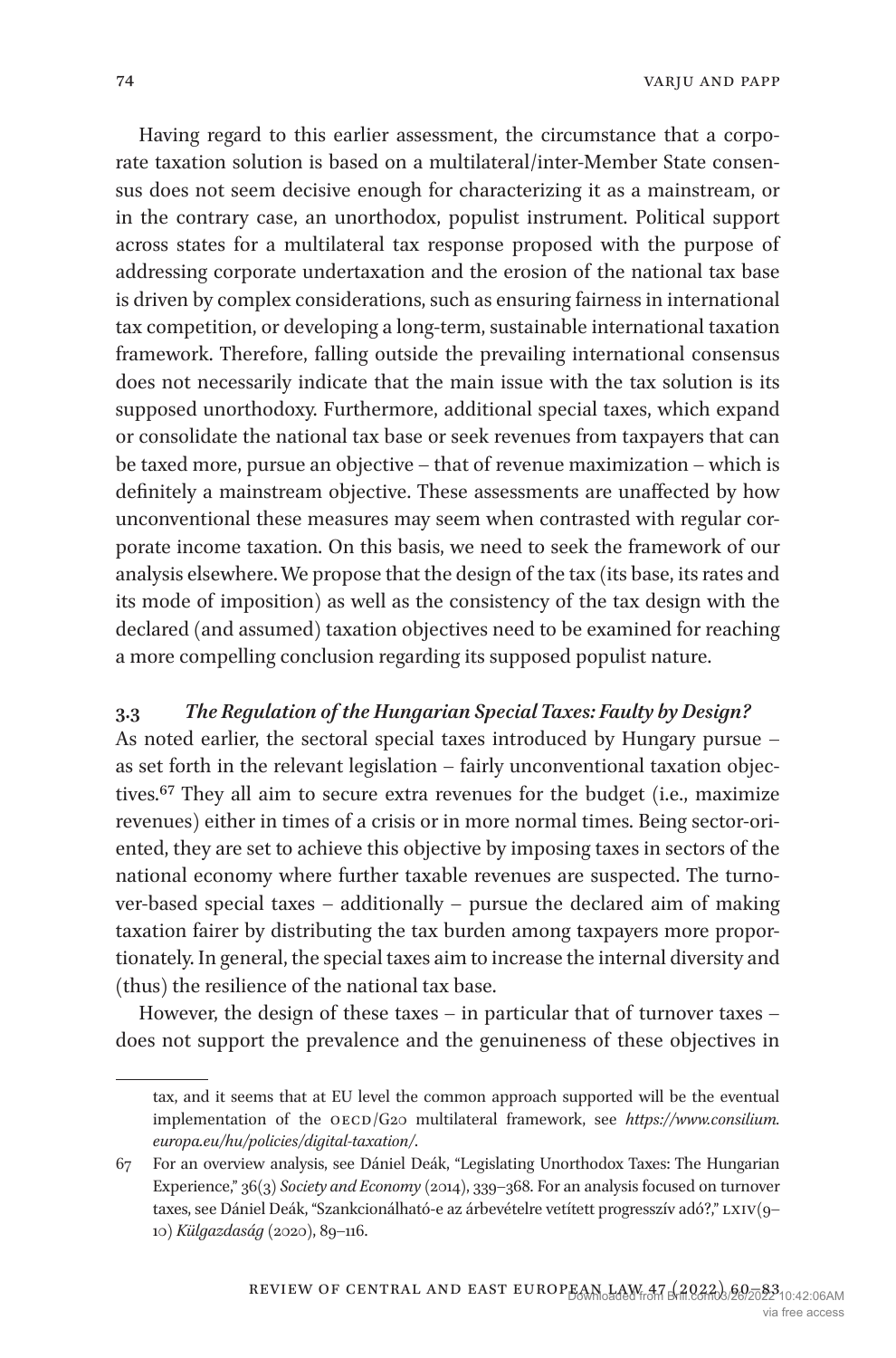Having regard to this earlier assessment, the circumstance that a corporate taxation solution is based on a multilateral/inter-Member State consensus does not seem decisive enough for characterizing it as a mainstream, or in the contrary case, an unorthodox, populist instrument. Political support across states for a multilateral tax response proposed with the purpose of addressing corporate undertaxation and the erosion of the national tax base is driven by complex considerations, such as ensuring fairness in international tax competition, or developing a long-term, sustainable international taxation framework. Therefore, falling outside the prevailing international consensus does not necessarily indicate that the main issue with the tax solution is its supposed unorthodoxy. Furthermore, additional special taxes, which expand or consolidate the national tax base or seek revenues from taxpayers that can be taxed more, pursue an objective – that of revenue maximization – which is definitely a mainstream objective. These assessments are unaffected by how unconventional these measures may seem when contrasted with regular corporate income taxation. On this basis, we need to seek the framework of our analysis elsewhere. We propose that the design of the tax (its base, its rates and its mode of imposition) as well as the consistency of the tax design with the declared (and assumed) taxation objectives need to be examined for reaching a more compelling conclusion regarding its supposed populist nature.

#### **3.3** *The Regulation of the Hungarian Special Taxes: Faulty by Design?*

As noted earlier, the sectoral special taxes introduced by Hungary pursue – as set forth in the relevant legislation – fairly unconventional taxation objectives[.67](#page-14-0) They all aim to secure extra revenues for the budget (i.e., maximize revenues) either in times of a crisis or in more normal times. Being sector-oriented, they are set to achieve this objective by imposing taxes in sectors of the national economy where further taxable revenues are suspected. The turnover-based special taxes – additionally – pursue the declared aim of making taxation fairer by distributing the tax burden among taxpayers more proportionately. In general, the special taxes aim to increase the internal diversity and (thus) the resilience of the national tax base.

However, the design of these taxes – in particular that of turnover taxes – does not support the prevalence and the genuineness of these objectives in

tax, and it seems that at EU level the common approach supported will be the eventual implementation of the OECD/G20 multilateral framework, see [https://www.consilium.](https://www.consilium.europa.eu/hu/policies/digital-taxation/) *[europa.eu/hu/policies/digital-taxation/](https://www.consilium.europa.eu/hu/policies/digital-taxation/)*.

<span id="page-14-0"></span><sup>67</sup> For an overview analysis, see Dániel Deák, "Legislating Unorthodox Taxes: The Hungarian Experience," 36(3) *Society and Economy* (2014), 339–368. For an analysis focused on turnover taxes, see Dániel Deák, "Szankcionálható-e az árbevételre vetített progresszív adó?," LXIV(9-10) *Külgazdaság* (2020), 89–116.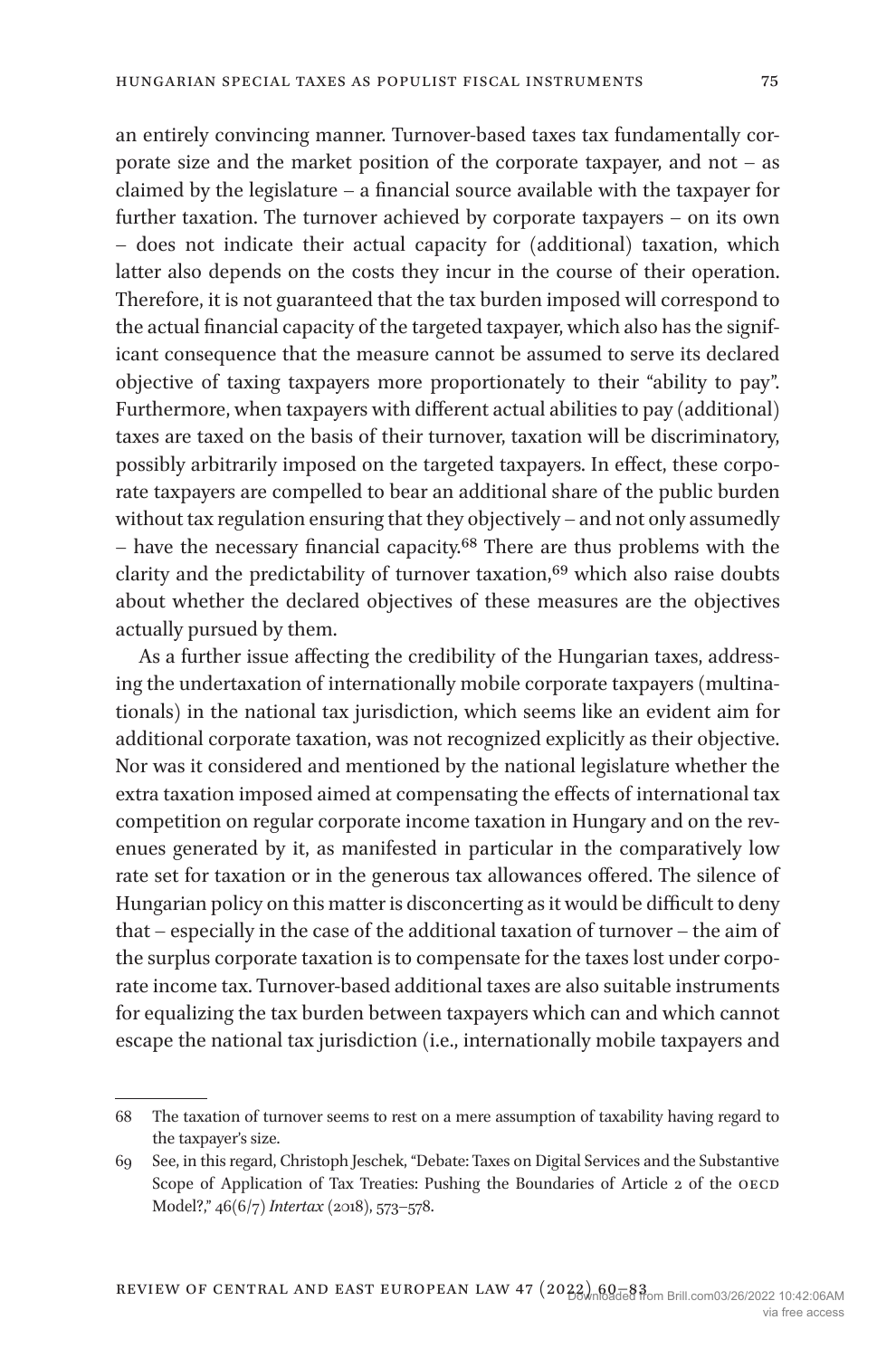an entirely convincing manner. Turnover-based taxes tax fundamentally corporate size and the market position of the corporate taxpayer, and not – as claimed by the legislature – a financial source available with the taxpayer for further taxation. The turnover achieved by corporate taxpayers – on its own – does not indicate their actual capacity for (additional) taxation, which latter also depends on the costs they incur in the course of their operation. Therefore, it is not guaranteed that the tax burden imposed will correspond to the actual financial capacity of the targeted taxpayer, which also has the significant consequence that the measure cannot be assumed to serve its declared objective of taxing taxpayers more proportionately to their "ability to pay". Furthermore, when taxpayers with different actual abilities to pay (additional) taxes are taxed on the basis of their turnover, taxation will be discriminatory, possibly arbitrarily imposed on the targeted taxpayers. In effect, these corporate taxpayers are compelled to bear an additional share of the public burden without tax regulation ensuring that they objectively – and not only assumedly – have the necessary financial capacity[.68](#page-15-0) There are thus problems with the clarity and the predictability of turnover taxation,<sup>69</sup> which also raise doubts about whether the declared objectives of these measures are the objectives actually pursued by them.

As a further issue affecting the credibility of the Hungarian taxes, addressing the undertaxation of internationally mobile corporate taxpayers (multinationals) in the national tax jurisdiction, which seems like an evident aim for additional corporate taxation, was not recognized explicitly as their objective. Nor was it considered and mentioned by the national legislature whether the extra taxation imposed aimed at compensating the effects of international tax competition on regular corporate income taxation in Hungary and on the revenues generated by it, as manifested in particular in the comparatively low rate set for taxation or in the generous tax allowances offered. The silence of Hungarian policy on this matter is disconcerting as it would be difficult to deny that – especially in the case of the additional taxation of turnover – the aim of the surplus corporate taxation is to compensate for the taxes lost under corporate income tax. Turnover-based additional taxes are also suitable instruments for equalizing the tax burden between taxpayers which can and which cannot escape the national tax jurisdiction (i.e., internationally mobile taxpayers and

<span id="page-15-0"></span><sup>68</sup> The taxation of turnover seems to rest on a mere assumption of taxability having regard to the taxpayer's size.

<span id="page-15-1"></span><sup>69</sup> See, in this regard, Christoph Jeschek, "Debate: Taxes on Digital Services and the Substantive Scope of Application of Tax Treaties: Pushing the Boundaries of Article 2 of the OECD Model?," 46(6/7) *Intertax* (2018), 573–578.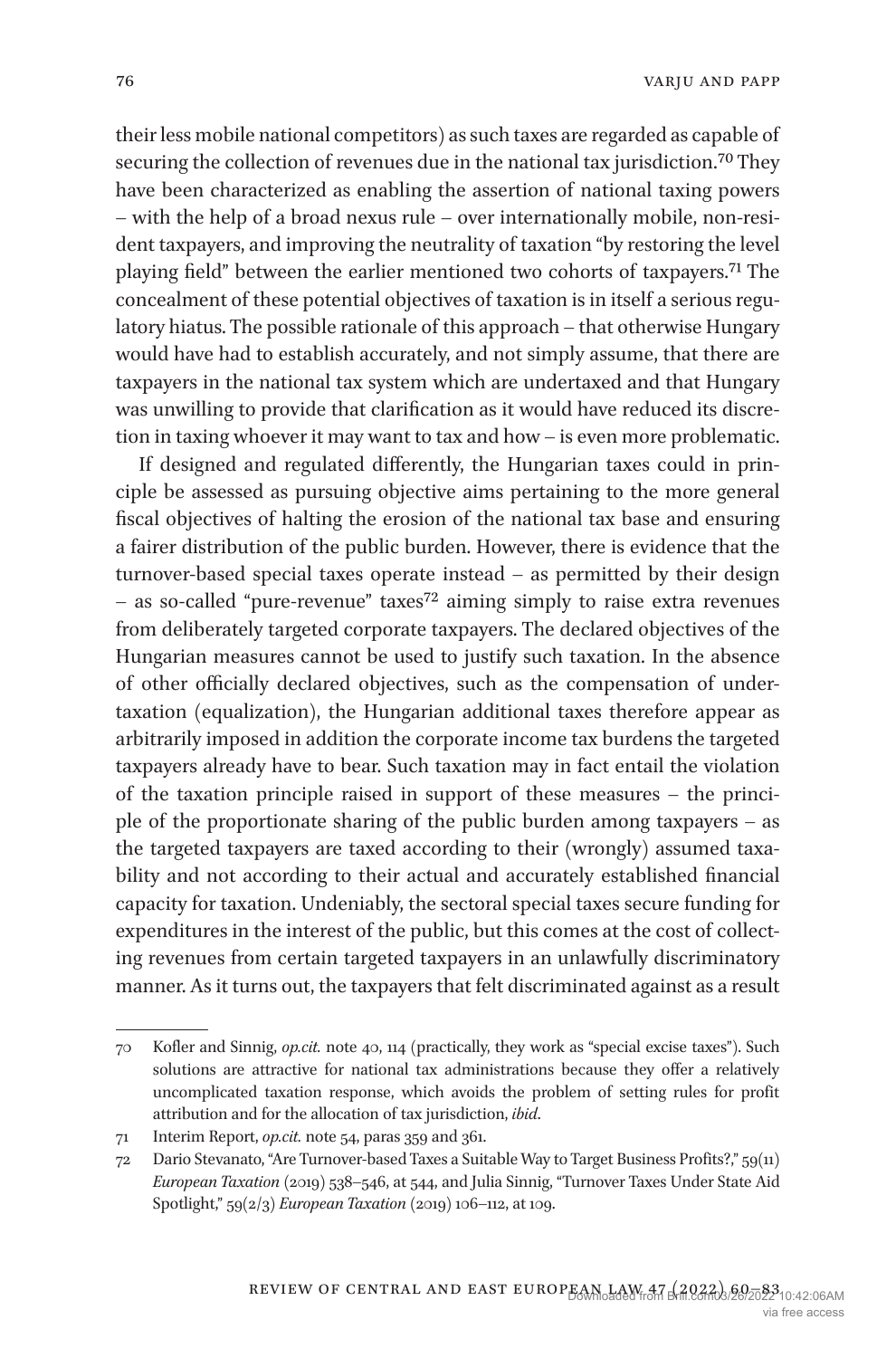their less mobile national competitors) as such taxes are regarded as capable of securing the collection of revenues due in the national tax jurisdiction.<sup>70</sup> They have been characterized as enabling the assertion of national taxing powers – with the help of a broad nexus rule – over internationally mobile, non-resident taxpayers, and improving the neutrality of taxation "by restoring the level playing field" between the earlier mentioned two cohorts of taxpayers.[71](#page-16-1) The concealment of these potential objectives of taxation is in itself a serious regulatory hiatus. The possible rationale of this approach – that otherwise Hungary would have had to establish accurately, and not simply assume, that there are taxpayers in the national tax system which are undertaxed and that Hungary was unwilling to provide that clarification as it would have reduced its discretion in taxing whoever it may want to tax and how – is even more problematic.

If designed and regulated differently, the Hungarian taxes could in principle be assessed as pursuing objective aims pertaining to the more general fiscal objectives of halting the erosion of the national tax base and ensuring a fairer distribution of the public burden. However, there is evidence that the turnover-based special taxes operate instead – as permitted by their design – as so-called "pure-revenue" taxes[72](#page-16-2) aiming simply to raise extra revenues from deliberately targeted corporate taxpayers. The declared objectives of the Hungarian measures cannot be used to justify such taxation. In the absence of other officially declared objectives, such as the compensation of undertaxation (equalization), the Hungarian additional taxes therefore appear as arbitrarily imposed in addition the corporate income tax burdens the targeted taxpayers already have to bear. Such taxation may in fact entail the violation of the taxation principle raised in support of these measures – the principle of the proportionate sharing of the public burden among taxpayers – as the targeted taxpayers are taxed according to their (wrongly) assumed taxability and not according to their actual and accurately established financial capacity for taxation. Undeniably, the sectoral special taxes secure funding for expenditures in the interest of the public, but this comes at the cost of collecting revenues from certain targeted taxpayers in an unlawfully discriminatory manner. As it turns out, the taxpayers that felt discriminated against as a result

<span id="page-16-0"></span><sup>70</sup> Kofler and Sinnig, *op.cit.* note 40, 114 (practically, they work as "special excise taxes"). Such solutions are attractive for national tax administrations because they offer a relatively uncomplicated taxation response, which avoids the problem of setting rules for profit attribution and for the allocation of tax jurisdiction, *ibid*.

<span id="page-16-1"></span><sup>71</sup> Interim Report, *op.cit.* note 54, paras 359 and 361.

<span id="page-16-2"></span><sup>72</sup> Dario Stevanato, "Are Turnover-based Taxes a Suitable Way to Target Business Profits?," 59(11) *European Taxation* (2019) 538–546, at 544, and Julia Sinnig, "Turnover Taxes Under State Aid Spotlight," 59(2/3) *European Taxation* (2019) 106–112, at 109.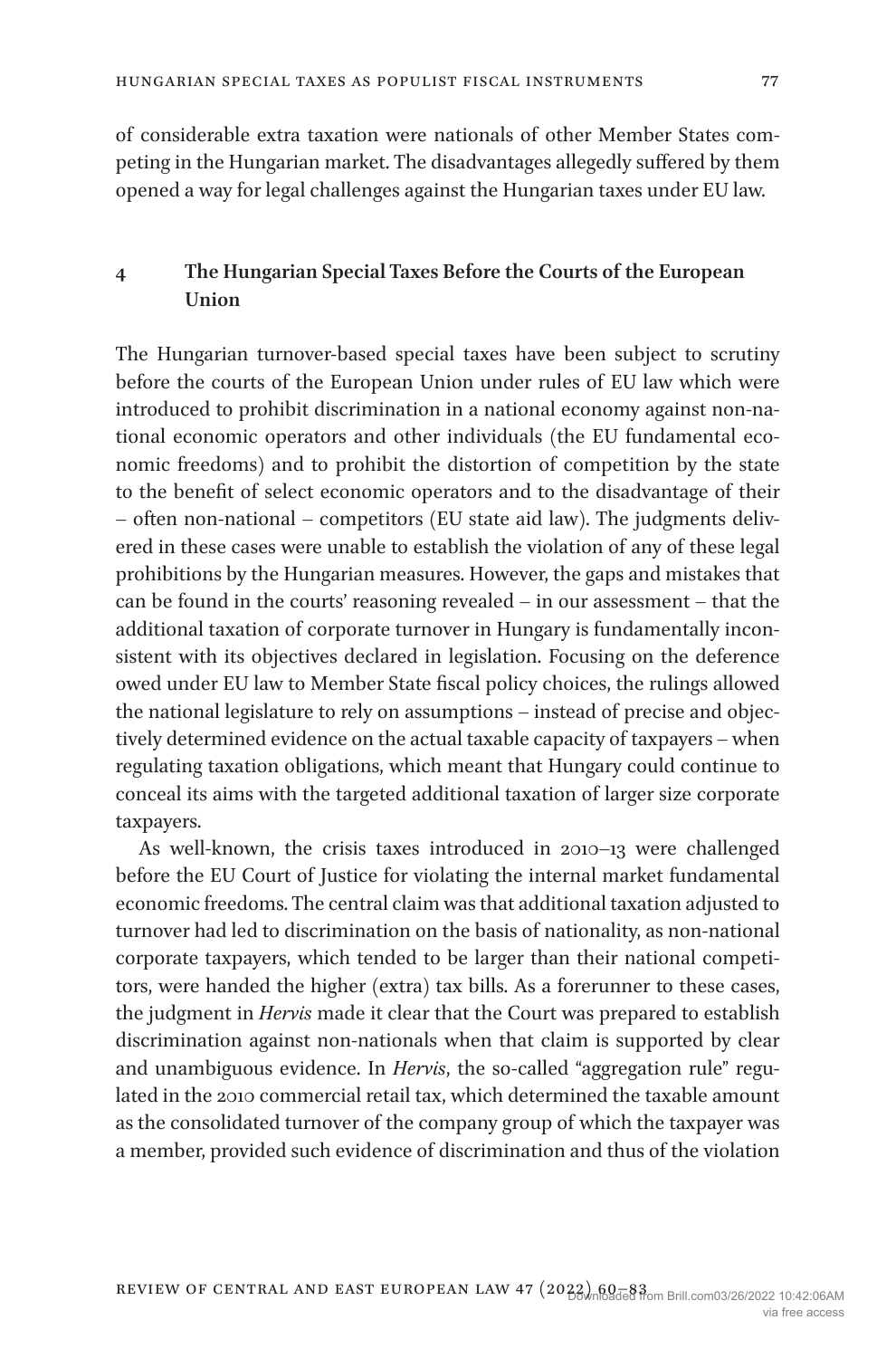of considerable extra taxation were nationals of other Member States competing in the Hungarian market. The disadvantages allegedly suffered by them opened a way for legal challenges against the Hungarian taxes under EU law.

## **4 The Hungarian Special Taxes Before the Courts of the European Union**

The Hungarian turnover-based special taxes have been subject to scrutiny before the courts of the European Union under rules of EU law which were introduced to prohibit discrimination in a national economy against non-national economic operators and other individuals (the EU fundamental economic freedoms) and to prohibit the distortion of competition by the state to the benefit of select economic operators and to the disadvantage of their – often non-national – competitors (EU state aid law). The judgments delivered in these cases were unable to establish the violation of any of these legal prohibitions by the Hungarian measures. However, the gaps and mistakes that can be found in the courts' reasoning revealed – in our assessment – that the additional taxation of corporate turnover in Hungary is fundamentally inconsistent with its objectives declared in legislation. Focusing on the deference owed under EU law to Member State fiscal policy choices, the rulings allowed the national legislature to rely on assumptions – instead of precise and objectively determined evidence on the actual taxable capacity of taxpayers – when regulating taxation obligations, which meant that Hungary could continue to conceal its aims with the targeted additional taxation of larger size corporate taxpayers.

As well-known, the crisis taxes introduced in 2010–13 were challenged before the EU Court of Justice for violating the internal market fundamental economic freedoms. The central claim was that additional taxation adjusted to turnover had led to discrimination on the basis of nationality, as non-national corporate taxpayers, which tended to be larger than their national competitors, were handed the higher (extra) tax bills. As a forerunner to these cases, the judgment in *Hervis* made it clear that the Court was prepared to establish discrimination against non-nationals when that claim is supported by clear and unambiguous evidence. In *Hervis*, the so-called "aggregation rule" regulated in the 2010 commercial retail tax, which determined the taxable amount as the consolidated turnover of the company group of which the taxpayer was a member, provided such evidence of discrimination and thus of the violation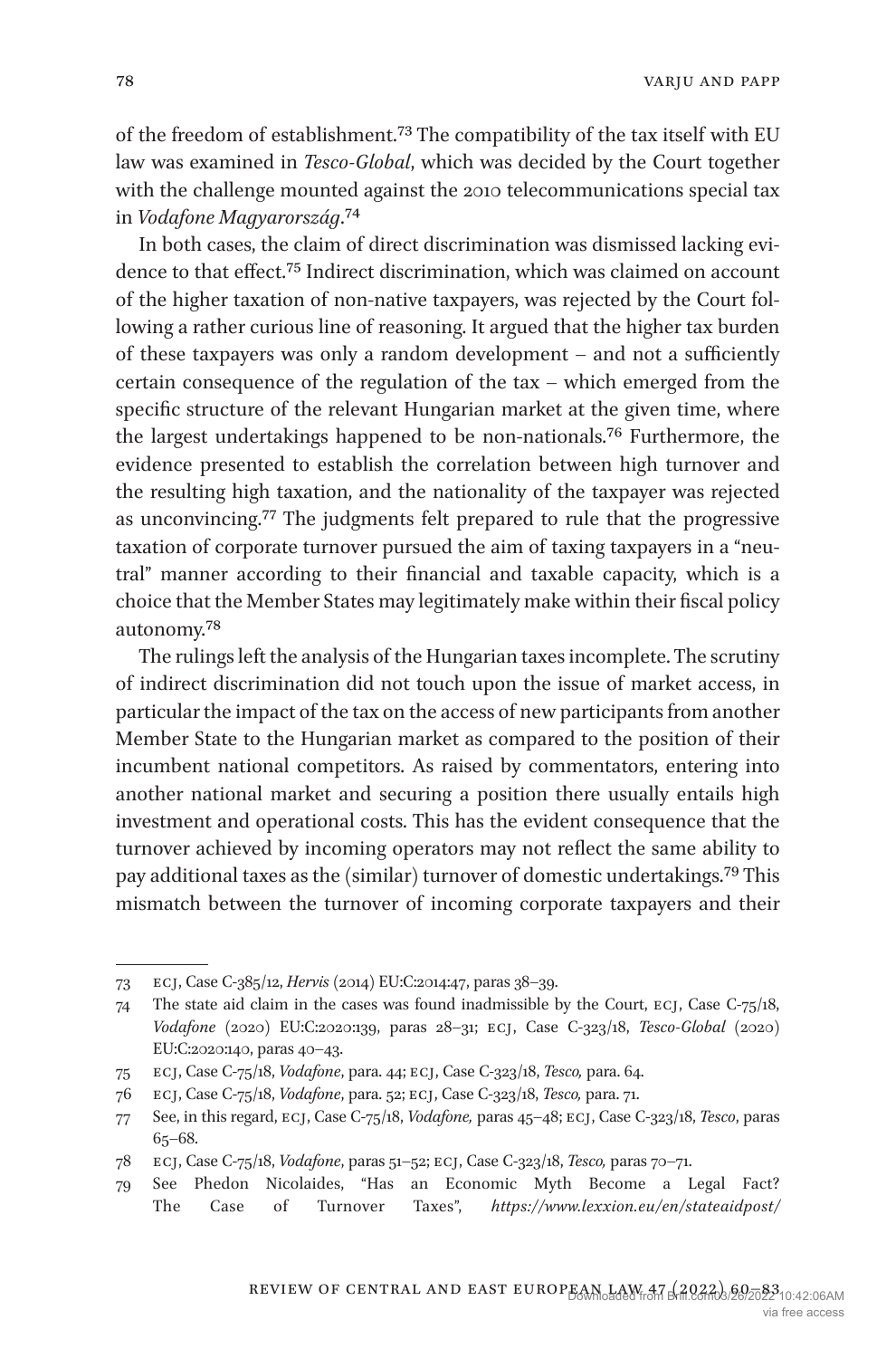varju and papp

of the freedom of establishment.[73](#page-18-0) The compatibility of the tax itself with EU law was examined in *Tesco-Global*, which was decided by the Court together with the challenge mounted against the 2010 telecommunications special tax in *Vodafone Magyarország*[.74](#page-18-1)

In both cases, the claim of direct discrimination was dismissed lacking evidence to that effect[.75](#page-18-2) Indirect discrimination, which was claimed on account of the higher taxation of non-native taxpayers, was rejected by the Court following a rather curious line of reasoning. It argued that the higher tax burden of these taxpayers was only a random development – and not a sufficiently certain consequence of the regulation of the tax – which emerged from the specific structure of the relevant Hungarian market at the given time, where the largest undertakings happened to be non-nationals.[76](#page-18-3) Furthermore, the evidence presented to establish the correlation between high turnover and the resulting high taxation, and the nationality of the taxpayer was rejected as unconvincing.[77](#page-18-4) The judgments felt prepared to rule that the progressive taxation of corporate turnover pursued the aim of taxing taxpayers in a "neutral" manner according to their financial and taxable capacity, which is a choice that the Member States may legitimately make within their fiscal policy autonomy.[78](#page-18-5)

The rulings left the analysis of the Hungarian taxes incomplete. The scrutiny of indirect discrimination did not touch upon the issue of market access, in particular the impact of the tax on the access of new participants from another Member State to the Hungarian market as compared to the position of their incumbent national competitors. As raised by commentators, entering into another national market and securing a position there usually entails high investment and operational costs. This has the evident consequence that the turnover achieved by incoming operators may not reflect the same ability to pay additional taxes as the (similar) turnover of domestic undertakings[.79](#page-18-6) This mismatch between the turnover of incoming corporate taxpayers and their

<span id="page-18-0"></span><sup>73</sup> ecj, Case C-385/12, *Hervis* (2014) EU:C:2014:47, paras 38–39.

<span id="page-18-1"></span><sup>74</sup> The state aid claim in the cases was found inadmissible by the Court, ecj, Case C-75/18, *Vodafone* (2020) EU:C:2020:139, paras 28–31; ecj, Case C-323/18, *Tesco-Global* (2020) EU:C:2020:140, paras 40–43.

<span id="page-18-2"></span><sup>75</sup> ecj, Case C-75/18, *Vodafone*, para. 44; ecj, Case C-323/18, *Tesco,* para. 64.

<span id="page-18-3"></span><sup>76</sup> ecj, Case C-75/18, *Vodafone*, para. 52; ecj, Case C-323/18, *Tesco,* para. 71.

<span id="page-18-4"></span><sup>77</sup> See, in this regard, ecj, Case C-75/18, *Vodafone,* paras 45–48; ecj, Case C-323/18, *Tesco*, paras 65–68.

<span id="page-18-5"></span><sup>78</sup> ecj, Case C-75/18, *Vodafone*, paras 51–52; ecj, Case C-323/18, *Tesco,* paras 70–71.

<span id="page-18-6"></span><sup>79</sup> See Phedon Nicolaides, "Has an Economic Myth Become a Legal Fact? The Case of Turnover Taxes", *[https://www.lexxion.eu/en/stateaidpost/](https://www.lexxion.eu/en/stateaidpost/has-an-economic-myth-become-a-legal-fact-the-case-of-turnover-taxes/)*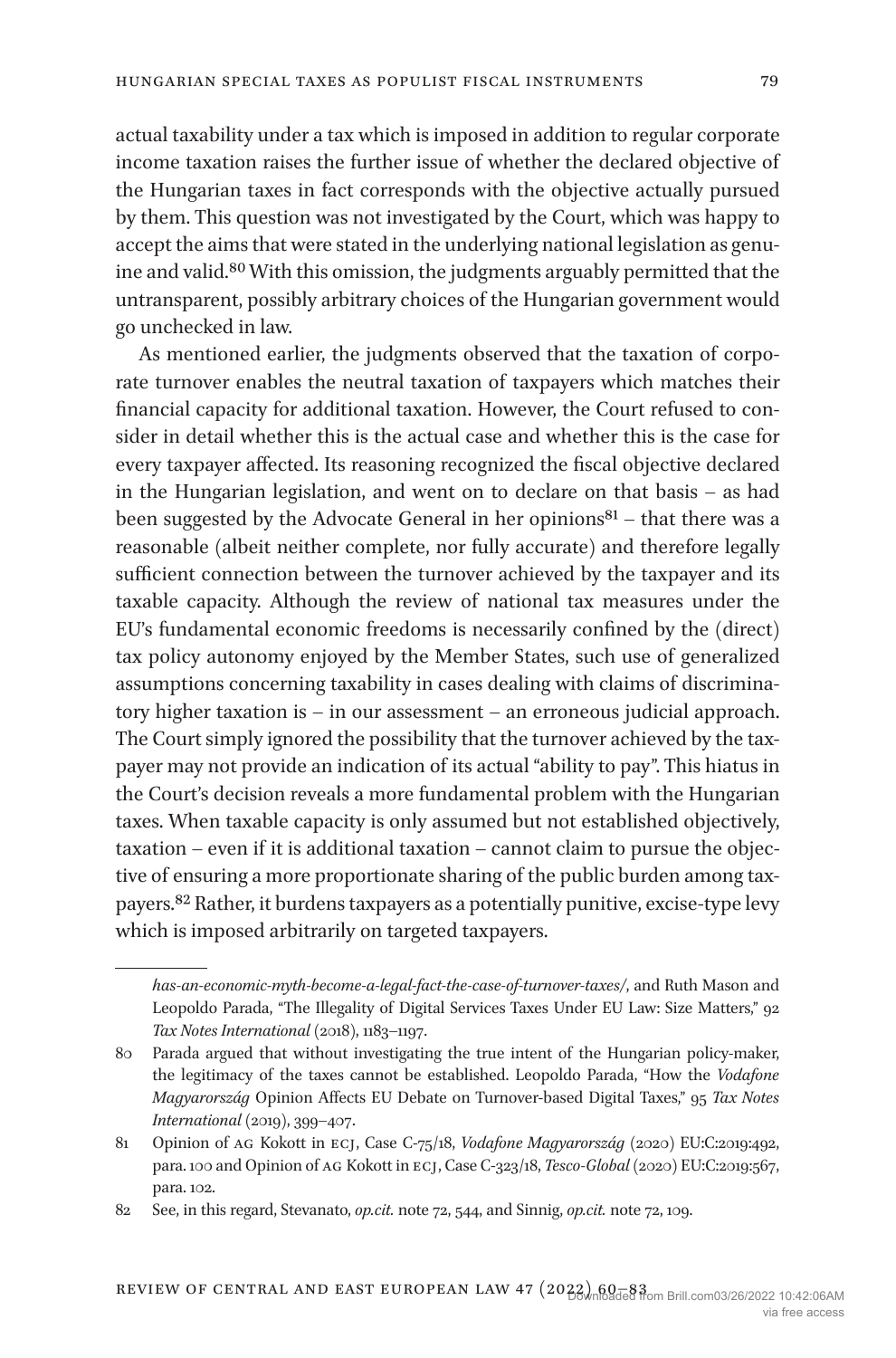actual taxability under a tax which is imposed in addition to regular corporate income taxation raises the further issue of whether the declared objective of the Hungarian taxes in fact corresponds with the objective actually pursued by them. This question was not investigated by the Court, which was happy to accept the aims that were stated in the underlying national legislation as genuine and valid[.80](#page-19-0) With this omission, the judgments arguably permitted that the untransparent, possibly arbitrary choices of the Hungarian government would go unchecked in law.

As mentioned earlier, the judgments observed that the taxation of corporate turnover enables the neutral taxation of taxpayers which matches their financial capacity for additional taxation. However, the Court refused to consider in detail whether this is the actual case and whether this is the case for every taxpayer affected. Its reasoning recognized the fiscal objective declared in the Hungarian legislation, and went on to declare on that basis – as had been suggested by the Advocate General in her opinions $81 81 -$  that there was a reasonable (albeit neither complete, nor fully accurate) and therefore legally sufficient connection between the turnover achieved by the taxpayer and its taxable capacity. Although the review of national tax measures under the EU's fundamental economic freedoms is necessarily confined by the (direct) tax policy autonomy enjoyed by the Member States, such use of generalized assumptions concerning taxability in cases dealing with claims of discriminatory higher taxation is – in our assessment – an erroneous judicial approach. The Court simply ignored the possibility that the turnover achieved by the taxpayer may not provide an indication of its actual "ability to pay". This hiatus in the Court's decision reveals a more fundamental problem with the Hungarian taxes. When taxable capacity is only assumed but not established objectively, taxation – even if it is additional taxation – cannot claim to pursue the objective of ensuring a more proportionate sharing of the public burden among taxpayers.[82](#page-19-2) Rather, it burdens taxpayers as a potentially punitive, excise-type levy which is imposed arbitrarily on targeted taxpayers.

*[has-an-economic-myth-become-a-legal-fact-the-case-of-turnover-taxes/](https://www.lexxion.eu/en/stateaidpost/has-an-economic-myth-become-a-legal-fact-the-case-of-turnover-taxes/)*, and Ruth Mason and Leopoldo Parada, "The Illegality of Digital Services Taxes Under EU Law: Size Matters," 92 *Tax Notes International* (2018), 1183–1197.

<span id="page-19-0"></span><sup>80</sup> Parada argued that without investigating the true intent of the Hungarian policy-maker, the legitimacy of the taxes cannot be established. Leopoldo Parada, "How the *Vodafone Magyarország* Opinion Affects EU Debate on Turnover-based Digital Taxes," 95 *Tax Notes International* (2019), 399–407.

<span id="page-19-1"></span><sup>81</sup> Opinion of ag Kokott in ecj, Case C-75/18, *Vodafone Magyarország* (2020) EU:C:2019:492, para. 100 and Opinion of ag Kokott in ecj, Case C-323/18, *Tesco-Global* (2020) EU:C:2019:567, para. 102.

<span id="page-19-2"></span><sup>82</sup> See, in this regard, Stevanato, *op.cit.* note 72, 544, and Sinnig, *op.cit.* note 72, 109.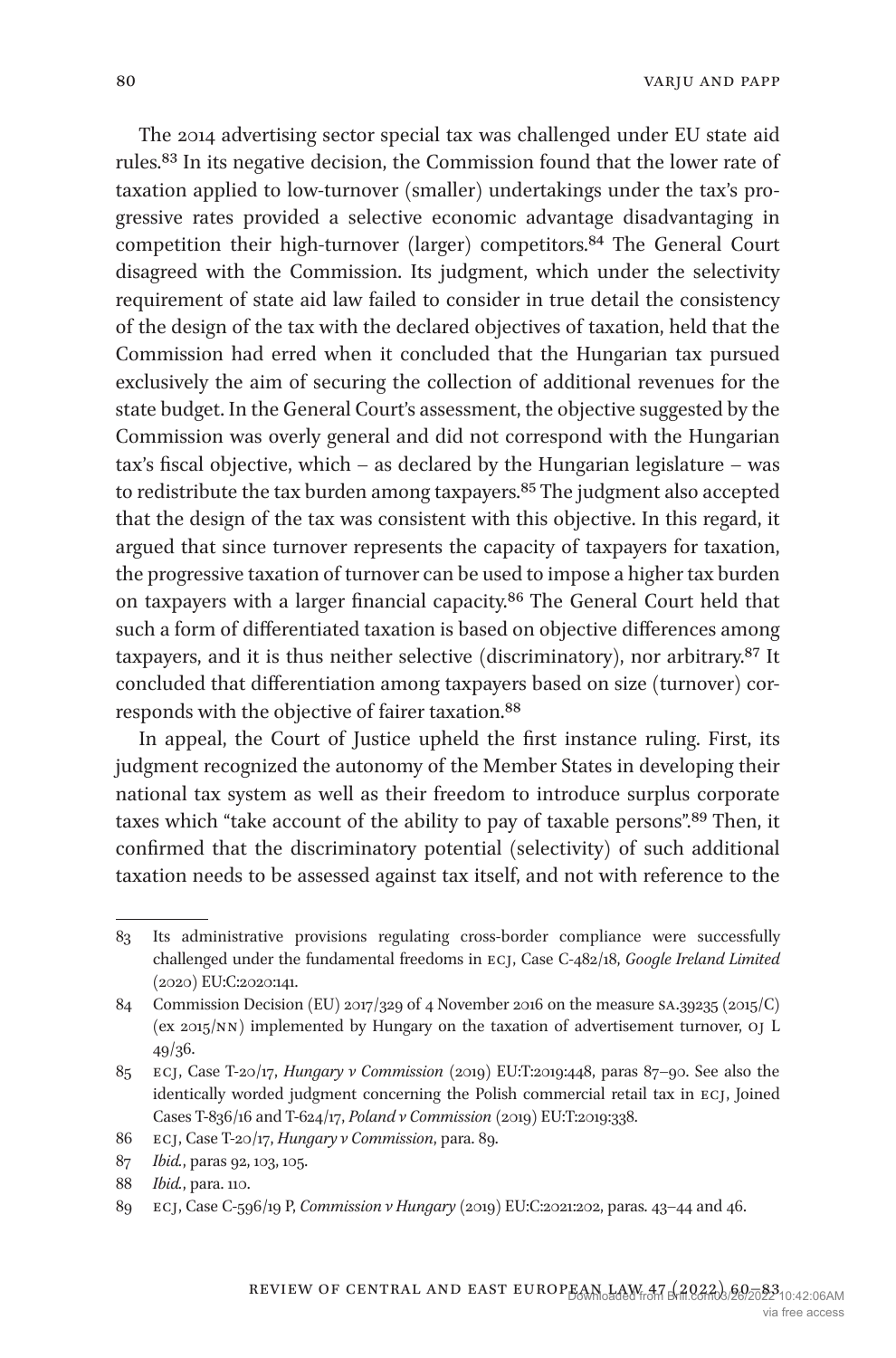The 2014 advertising sector special tax was challenged under EU state aid rules[.83](#page-20-0) In its negative decision, the Commission found that the lower rate of taxation applied to low-turnover (smaller) undertakings under the tax's progressive rates provided a selective economic advantage disadvantaging in competition their high-turnover (larger) competitors.<sup>84</sup> The General Court disagreed with the Commission. Its judgment, which under the selectivity requirement of state aid law failed to consider in true detail the consistency of the design of the tax with the declared objectives of taxation, held that the Commission had erred when it concluded that the Hungarian tax pursued exclusively the aim of securing the collection of additional revenues for the state budget. In the General Court's assessment, the objective suggested by the Commission was overly general and did not correspond with the Hungarian tax's fiscal objective, which – as declared by the Hungarian legislature – was to redistribute the tax burden among taxpayers.<sup>[85](#page-20-2)</sup> The judgment also accepted that the design of the tax was consistent with this objective. In this regard, it argued that since turnover represents the capacity of taxpayers for taxation, the progressive taxation of turnover can be used to impose a higher tax burden on taxpayers with a larger financial capacity[.86](#page-20-3) The General Court held that such a form of differentiated taxation is based on objective differences among taxpayers, and it is thus neither selective (discriminatory), nor arbitrary[.87](#page-20-4) It concluded that differentiation among taxpayers based on size (turnover) corresponds with the objective of fairer taxation.[88](#page-20-5)

In appeal, the Court of Justice upheld the first instance ruling. First, its judgment recognized the autonomy of the Member States in developing their national tax system as well as their freedom to introduce surplus corporate taxes which "take account of the ability to pay of taxable persons"[.89](#page-20-6) Then, it confirmed that the discriminatory potential (selectivity) of such additional taxation needs to be assessed against tax itself, and not with reference to the

<span id="page-20-0"></span><sup>83</sup> Its administrative provisions regulating cross-border compliance were successfully challenged under the fundamental freedoms in ecj, Case C-482/18, *Google Ireland Limited* (2020) EU:C:2020:141.

<span id="page-20-1"></span><sup>84</sup> Commission Decision (EU) 2017/329 of 4 November 2016 on the measure sa.39235 (2015/C) (ex 2015/nn) implemented by Hungary on the taxation of advertisement turnover, oj L 49/36.

<span id="page-20-2"></span><sup>85</sup> ecj, Case T-20/17, *Hungary v Commission* (2019) EU:T:2019:448, paras 87–90. See also the identically worded judgment concerning the Polish commercial retail tax in ecj, Joined Cases T-836/16 and T-624/17, *Poland v Commission* (2019) EU:T:2019:338.

<span id="page-20-3"></span><sup>86</sup> ecj, Case T-20/17, *Hungary v Commission*, para. 89.

<span id="page-20-4"></span><sup>87</sup> *Ibid.*, paras 92, 103, 105.

<span id="page-20-5"></span><sup>88</sup> *Ibid.*, para. 110.

<span id="page-20-6"></span><sup>89</sup> ecj, Case C-596/19 P, *Commission v Hungary* (2019) EU:C:2021:202, paras. 43–44 and 46.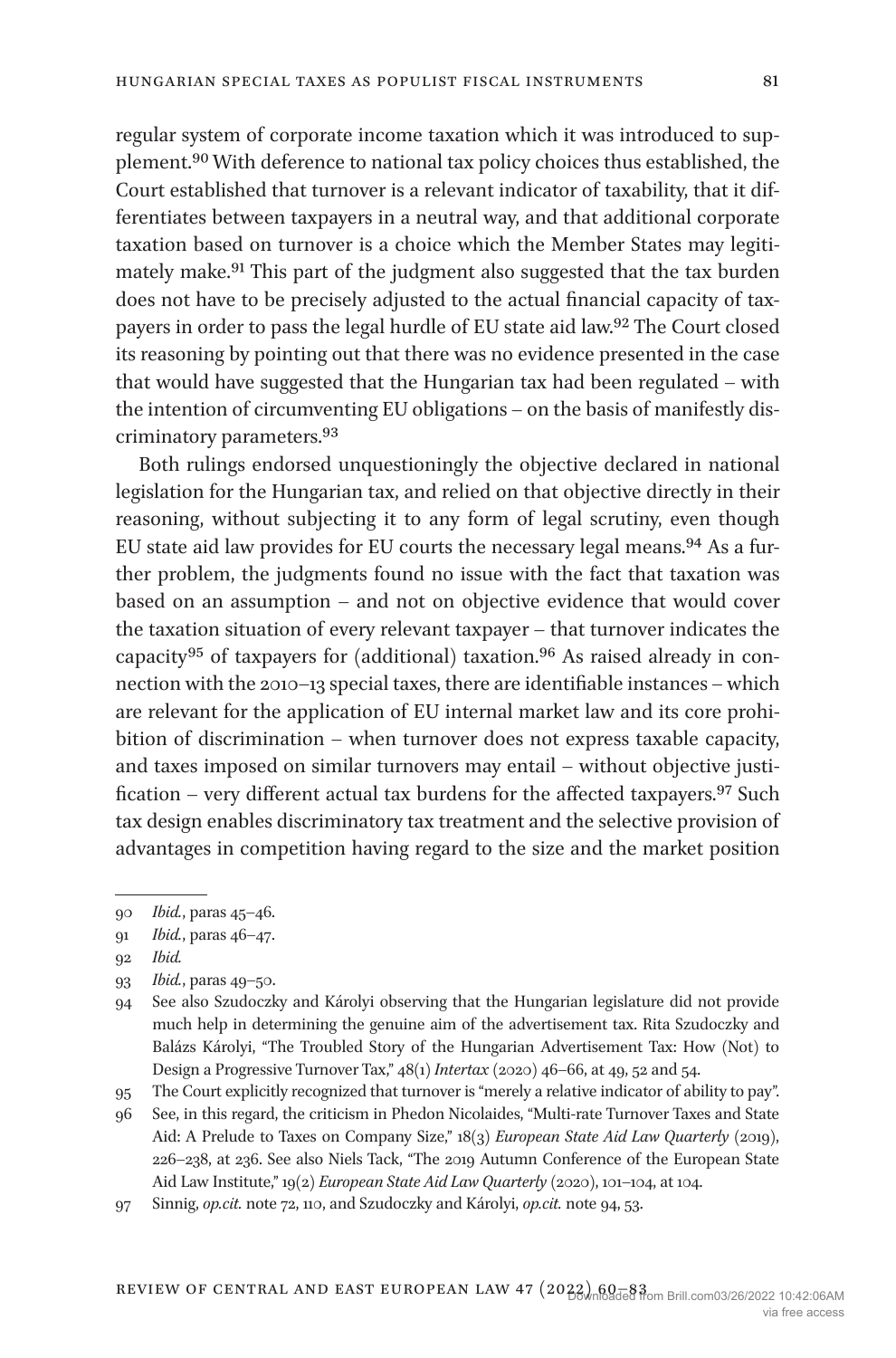regular system of corporate income taxation which it was introduced to supplement[.90](#page-21-0) With deference to national tax policy choices thus established, the Court established that turnover is a relevant indicator of taxability, that it differentiates between taxpayers in a neutral way, and that additional corporate taxation based on turnover is a choice which the Member States may legitimately make[.91](#page-21-1) This part of the judgment also suggested that the tax burden does not have to be precisely adjusted to the actual financial capacity of taxpayers in order to pass the legal hurdle of EU state aid law[.92](#page-21-2) The Court closed its reasoning by pointing out that there was no evidence presented in the case that would have suggested that the Hungarian tax had been regulated – with the intention of circumventing EU obligations – on the basis of manifestly discriminatory parameters[.93](#page-21-3)

Both rulings endorsed unquestioningly the objective declared in national legislation for the Hungarian tax, and relied on that objective directly in their reasoning, without subjecting it to any form of legal scrutiny, even though EU state aid law provides for EU courts the necessary legal means.[94](#page-21-4) As a further problem, the judgments found no issue with the fact that taxation was based on an assumption – and not on objective evidence that would cover the taxation situation of every relevant taxpayer – that turnover indicates the capacity[95](#page-21-5) of taxpayers for (additional) taxation.[96](#page-21-6) As raised already in connection with the 2010–13 special taxes, there are identifiable instances – which are relevant for the application of EU internal market law and its core prohibition of discrimination – when turnover does not express taxable capacity, and taxes imposed on similar turnovers may entail – without objective justi-fication – very different actual tax burdens for the affected taxpayers.<sup>[97](#page-21-7)</sup> Such tax design enables discriminatory tax treatment and the selective provision of advantages in competition having regard to the size and the market position

<span id="page-21-0"></span><sup>90</sup> *Ibid.*, paras 45–46.

<span id="page-21-1"></span><sup>91</sup> *Ibid.*, paras 46–47.

<span id="page-21-2"></span><sup>92</sup> *Ibid.*

<span id="page-21-3"></span><sup>93</sup> *Ibid.*, paras 49–50.

<span id="page-21-4"></span><sup>94</sup> See also Szudoczky and Károlyi observing that the Hungarian legislature did not provide much help in determining the genuine aim of the advertisement tax. Rita Szudoczky and Balázs Károlyi, "The Troubled Story of the Hungarian Advertisement Tax: How (Not) to Design a Progressive Turnover Tax," 48(1) *Intertax* (2020) 46–66, at 49, 52 and 54.

<span id="page-21-5"></span><sup>95</sup> The Court explicitly recognized that turnover is "merely a relative indicator of ability to pay".

<span id="page-21-6"></span><sup>96</sup> See, in this regard, the criticism in Phedon Nicolaides, "Multi-rate Turnover Taxes and State Aid: A Prelude to Taxes on Company Size," 18(3) *European State Aid Law Quarterly* (2019), 226–238, at 236. See also Niels Tack, "The 2019 Autumn Conference of the European State Aid Law Institute," 19(2) *European State Aid Law Quarterly* (2020), 101–104, at 104.

<span id="page-21-7"></span><sup>97</sup> Sinnig, *op.cit.* note 72, 110, and Szudoczky and Károlyi, *op.cit.* note 94, 53.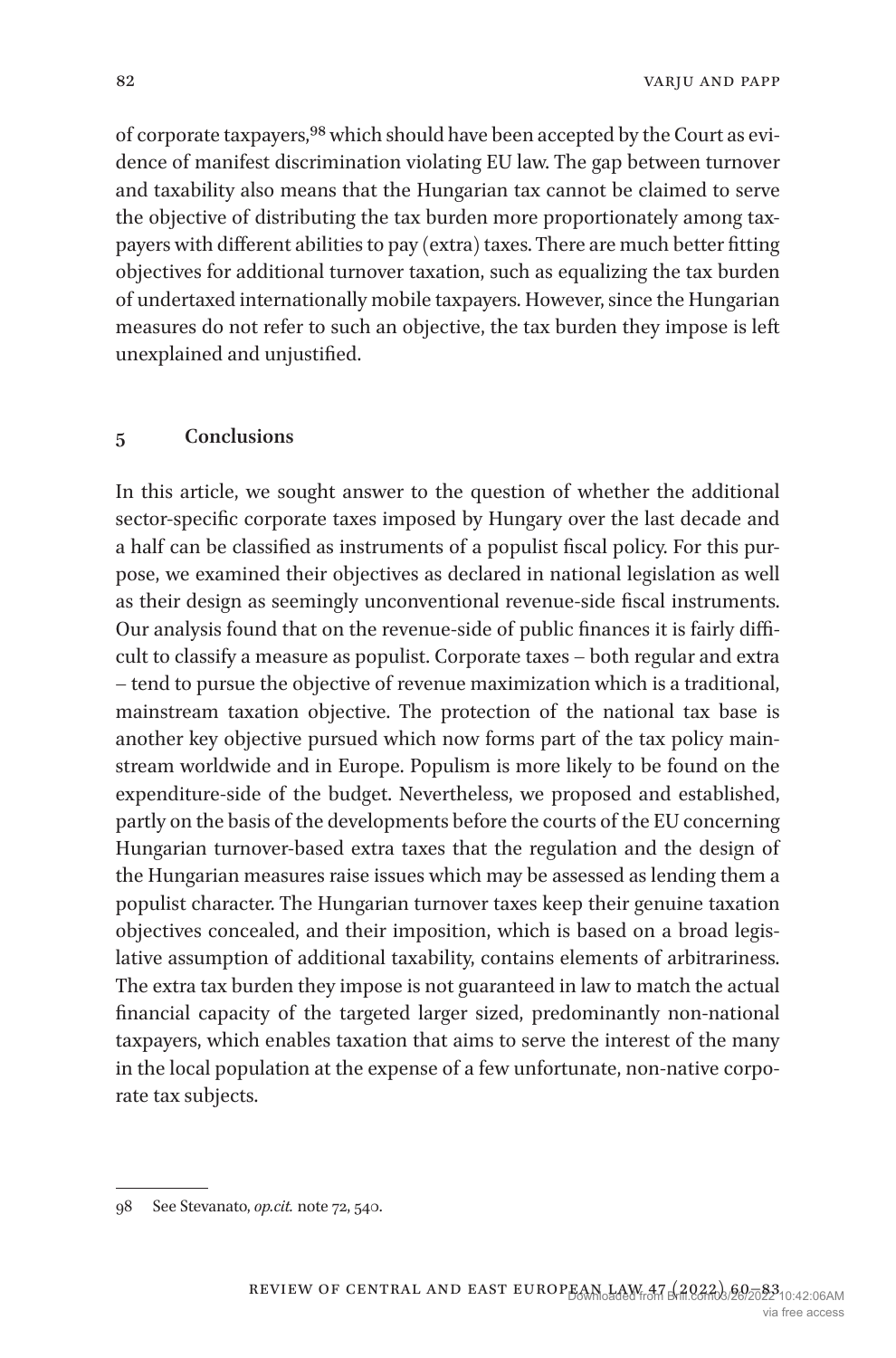of corporate taxpayers,[98](#page-22-0) which should have been accepted by the Court as evidence of manifest discrimination violating EU law. The gap between turnover and taxability also means that the Hungarian tax cannot be claimed to serve the objective of distributing the tax burden more proportionately among taxpayers with different abilities to pay (extra) taxes. There are much better fitting objectives for additional turnover taxation, such as equalizing the tax burden of undertaxed internationally mobile taxpayers. However, since the Hungarian measures do not refer to such an objective, the tax burden they impose is left unexplained and unjustified.

#### **5 Conclusions**

In this article, we sought answer to the question of whether the additional sector-specific corporate taxes imposed by Hungary over the last decade and a half can be classified as instruments of a populist fiscal policy. For this purpose, we examined their objectives as declared in national legislation as well as their design as seemingly unconventional revenue-side fiscal instruments. Our analysis found that on the revenue-side of public finances it is fairly difficult to classify a measure as populist. Corporate taxes – both regular and extra – tend to pursue the objective of revenue maximization which is a traditional, mainstream taxation objective. The protection of the national tax base is another key objective pursued which now forms part of the tax policy mainstream worldwide and in Europe. Populism is more likely to be found on the expenditure-side of the budget. Nevertheless, we proposed and established, partly on the basis of the developments before the courts of the EU concerning Hungarian turnover-based extra taxes that the regulation and the design of the Hungarian measures raise issues which may be assessed as lending them a populist character. The Hungarian turnover taxes keep their genuine taxation objectives concealed, and their imposition, which is based on a broad legislative assumption of additional taxability, contains elements of arbitrariness. The extra tax burden they impose is not guaranteed in law to match the actual financial capacity of the targeted larger sized, predominantly non-national taxpayers, which enables taxation that aims to serve the interest of the many in the local population at the expense of a few unfortunate, non-native corporate tax subjects.

<span id="page-22-0"></span><sup>98</sup> See Stevanato, *op.cit.* note 72, 540.